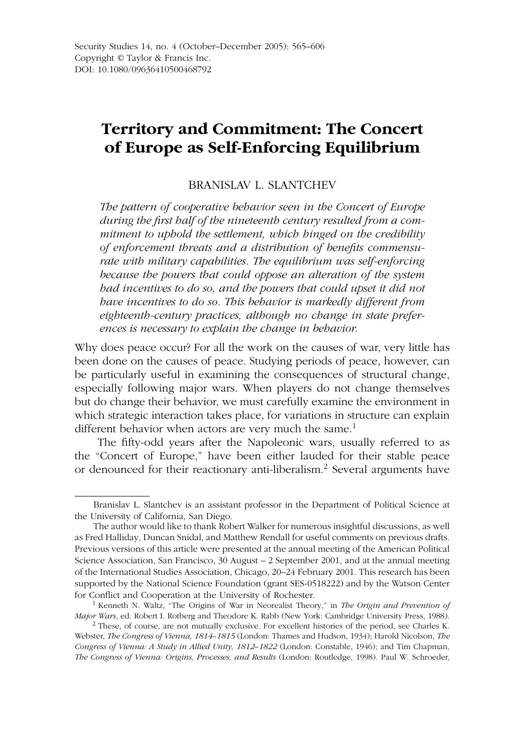# **Territory and Commitment: The Concert of Europe as Self-Enforcing Equilibrium**

### BRANISLAV L. SLANTCHEV

*The pattern of cooperative behavior seen in the Concert of Europe during the first half of the nineteenth century resulted from a commitment to uphold the settlement, which hinged on the credibility of enforcement threats and a distribution of benefits commensurate with military capabilities. The equilibrium was self-enforcing because the powers that could oppose an alteration of the system had incentives to do so, and the powers that could upset it did not have incentives to do so. This behavior is markedly different from eighteenth-century practices, although no change in state preferences is necessary to explain the change in behavior.*

Why does peace occur? For all the work on the causes of war, very little has been done on the causes of peace. Studying periods of peace, however, can be particularly useful in examining the consequences of structural change, especially following major wars. When players do not change themselves but do change their behavior, we must carefully examine the environment in which strategic interaction takes place, for variations in structure can explain different behavior when actors are very much the same.<sup>1</sup>

The fifty-odd years after the Napoleonic wars, usually referred to as the "Concert of Europe," have been either lauded for their stable peace or denounced for their reactionary anti-liberalism.<sup>2</sup> Several arguments have

Branislav L. Slantchev is an assistant professor in the Department of Political Science at the University of California, San Diego.

The author would like to thank Robert Walker for numerous insightful discussions, as well as Fred Halliday, Duncan Snidal, and Matthew Rendall for useful comments on previous drafts. Previous versions of this article were presented at the annual meeting of the American Political Science Association, San Francisco, 30 August – 2 September 2001, and at the annual meeting of the International Studies Association, Chicago, 20–24 February 2001. This research has been supported by the National Science Foundation (grant SES-0518222) and by the Watson Center for Conflict and Cooperation at the University of Rochester.

<sup>1</sup> Kenneth N. Waltz, "The Origins of War in Neorealist Theory," in *The Origin and Prevention of Major Wars*, ed. Robert I. Rotberg and Theodore K. Rabb (New York: Cambridge University Press, 1988).

<sup>2</sup> These, of course, are not mutually exclusive. For excellent histories of the period, see Charles K. Webster, *The Congress of Vienna, 1814–1815* (London: Thames and Hudson, 1934); Harold Nicolson, *The Congress of Vienna: A Study in Allied Unity, 1812–1822* (London: Constable, 1946); and Tim Chapman, *The Congress of Vienna: Origins, Processes, and Results* (London: Routledge, 1998). Paul W. Schroeder,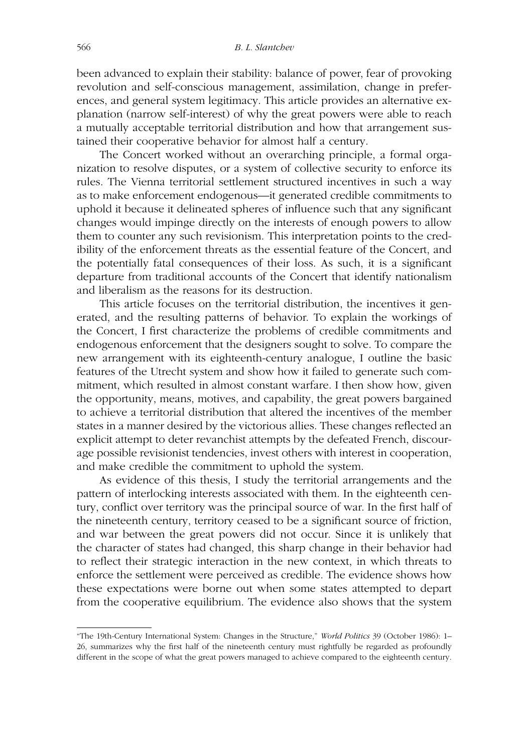been advanced to explain their stability: balance of power, fear of provoking revolution and self-conscious management, assimilation, change in preferences, and general system legitimacy. This article provides an alternative explanation (narrow self-interest) of why the great powers were able to reach a mutually acceptable territorial distribution and how that arrangement sustained their cooperative behavior for almost half a century.

The Concert worked without an overarching principle, a formal organization to resolve disputes, or a system of collective security to enforce its rules. The Vienna territorial settlement structured incentives in such a way as to make enforcement endogenous—it generated credible commitments to uphold it because it delineated spheres of influence such that any significant changes would impinge directly on the interests of enough powers to allow them to counter any such revisionism. This interpretation points to the credibility of the enforcement threats as the essential feature of the Concert, and the potentially fatal consequences of their loss. As such, it is a significant departure from traditional accounts of the Concert that identify nationalism and liberalism as the reasons for its destruction.

This article focuses on the territorial distribution, the incentives it generated, and the resulting patterns of behavior. To explain the workings of the Concert, I first characterize the problems of credible commitments and endogenous enforcement that the designers sought to solve. To compare the new arrangement with its eighteenth-century analogue, I outline the basic features of the Utrecht system and show how it failed to generate such commitment, which resulted in almost constant warfare. I then show how, given the opportunity, means, motives, and capability, the great powers bargained to achieve a territorial distribution that altered the incentives of the member states in a manner desired by the victorious allies. These changes reflected an explicit attempt to deter revanchist attempts by the defeated French, discourage possible revisionist tendencies, invest others with interest in cooperation, and make credible the commitment to uphold the system.

As evidence of this thesis, I study the territorial arrangements and the pattern of interlocking interests associated with them. In the eighteenth century, conflict over territory was the principal source of war. In the first half of the nineteenth century, territory ceased to be a significant source of friction, and war between the great powers did not occur. Since it is unlikely that the character of states had changed, this sharp change in their behavior had to reflect their strategic interaction in the new context, in which threats to enforce the settlement were perceived as credible. The evidence shows how these expectations were borne out when some states attempted to depart from the cooperative equilibrium. The evidence also shows that the system

<sup>&</sup>quot;The 19th-Century International System: Changes in the Structure," *World Politics* 39 (October 1986): 1– 26, summarizes why the first half of the nineteenth century must rightfully be regarded as profoundly different in the scope of what the great powers managed to achieve compared to the eighteenth century.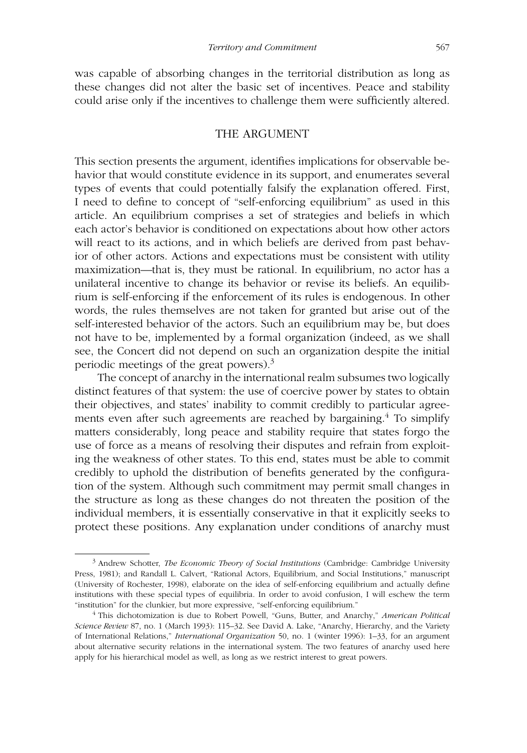was capable of absorbing changes in the territorial distribution as long as these changes did not alter the basic set of incentives. Peace and stability could arise only if the incentives to challenge them were sufficiently altered.

#### THE ARGUMENT

This section presents the argument, identifies implications for observable behavior that would constitute evidence in its support, and enumerates several types of events that could potentially falsify the explanation offered. First, I need to define to concept of "self-enforcing equilibrium" as used in this article. An equilibrium comprises a set of strategies and beliefs in which each actor's behavior is conditioned on expectations about how other actors will react to its actions, and in which beliefs are derived from past behavior of other actors. Actions and expectations must be consistent with utility maximization—that is, they must be rational. In equilibrium, no actor has a unilateral incentive to change its behavior or revise its beliefs. An equilibrium is self-enforcing if the enforcement of its rules is endogenous. In other words, the rules themselves are not taken for granted but arise out of the self-interested behavior of the actors. Such an equilibrium may be, but does not have to be, implemented by a formal organization (indeed, as we shall see, the Concert did not depend on such an organization despite the initial periodic meetings of the great powers). $3$ 

The concept of anarchy in the international realm subsumes two logically distinct features of that system: the use of coercive power by states to obtain their objectives, and states' inability to commit credibly to particular agreements even after such agreements are reached by bargaining.<sup>4</sup> To simplify matters considerably, long peace and stability require that states forgo the use of force as a means of resolving their disputes and refrain from exploiting the weakness of other states. To this end, states must be able to commit credibly to uphold the distribution of benefits generated by the configuration of the system. Although such commitment may permit small changes in the structure as long as these changes do not threaten the position of the individual members, it is essentially conservative in that it explicitly seeks to protect these positions. Any explanation under conditions of anarchy must

<sup>3</sup> Andrew Schotter, *The Economic Theory of Social Institutions* (Cambridge: Cambridge University Press, 1981); and Randall L. Calvert, "Rational Actors, Equilibrium, and Social Institutions," manuscript (University of Rochester, 1998), elaborate on the idea of self-enforcing equilibrium and actually define institutions with these special types of equilibria. In order to avoid confusion, I will eschew the term "institution" for the clunkier, but more expressive, "self-enforcing equilibrium."

<sup>4</sup> This dichotomization is due to Robert Powell, "Guns, Butter, and Anarchy," *American Political Science Review* 87, no. 1 (March 1993): 115–32. See David A. Lake, "Anarchy, Hierarchy, and the Variety of International Relations," *International Organization* 50, no. 1 (winter 1996): 1–33, for an argument about alternative security relations in the international system. The two features of anarchy used here apply for his hierarchical model as well, as long as we restrict interest to great powers.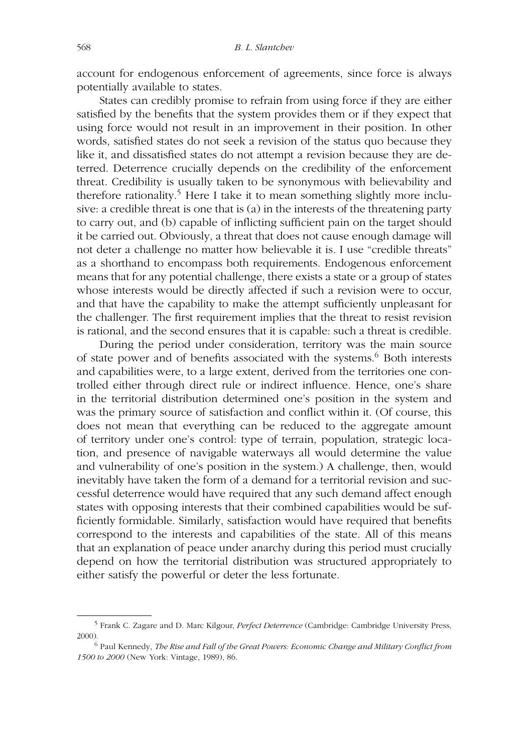account for endogenous enforcement of agreements, since force is always potentially available to states.

States can credibly promise to refrain from using force if they are either satisfied by the benefits that the system provides them or if they expect that using force would not result in an improvement in their position. In other words, satisfied states do not seek a revision of the status quo because they like it, and dissatisfied states do not attempt a revision because they are deterred. Deterrence crucially depends on the credibility of the enforcement threat. Credibility is usually taken to be synonymous with believability and therefore rationality.<sup>5</sup> Here I take it to mean something slightly more inclusive: a credible threat is one that is (a) in the interests of the threatening party to carry out, and (b) capable of inflicting sufficient pain on the target should it be carried out. Obviously, a threat that does not cause enough damage will not deter a challenge no matter how believable it is. I use "credible threats" as a shorthand to encompass both requirements. Endogenous enforcement means that for any potential challenge, there exists a state or a group of states whose interests would be directly affected if such a revision were to occur, and that have the capability to make the attempt sufficiently unpleasant for the challenger. The first requirement implies that the threat to resist revision is rational, and the second ensures that it is capable: such a threat is credible.

During the period under consideration, territory was the main source of state power and of benefits associated with the systems.<sup>6</sup> Both interests and capabilities were, to a large extent, derived from the territories one controlled either through direct rule or indirect influence. Hence, one's share in the territorial distribution determined one's position in the system and was the primary source of satisfaction and conflict within it. (Of course, this does not mean that everything can be reduced to the aggregate amount of territory under one's control: type of terrain, population, strategic location, and presence of navigable waterways all would determine the value and vulnerability of one's position in the system.) A challenge, then, would inevitably have taken the form of a demand for a territorial revision and successful deterrence would have required that any such demand affect enough states with opposing interests that their combined capabilities would be sufficiently formidable. Similarly, satisfaction would have required that benefits correspond to the interests and capabilities of the state. All of this means that an explanation of peace under anarchy during this period must crucially depend on how the territorial distribution was structured appropriately to either satisfy the powerful or deter the less fortunate.

<sup>5</sup> Frank C. Zagare and D. Marc Kilgour, *Perfect Deterrence* (Cambridge: Cambridge University Press, 2000).

<sup>6</sup> Paul Kennedy, *The Rise and Fall of the Great Powers: Economic Change and Military Conflict from 1500 to 2000* (New York: Vintage, 1989), 86.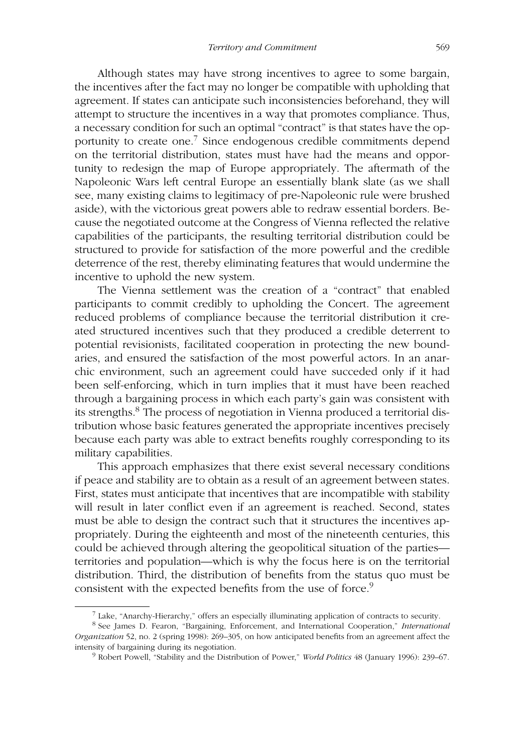Although states may have strong incentives to agree to some bargain, the incentives after the fact may no longer be compatible with upholding that agreement. If states can anticipate such inconsistencies beforehand, they will attempt to structure the incentives in a way that promotes compliance. Thus, a necessary condition for such an optimal "contract" is that states have the opportunity to create one.<sup>7</sup> Since endogenous credible commitments depend on the territorial distribution, states must have had the means and opportunity to redesign the map of Europe appropriately. The aftermath of the Napoleonic Wars left central Europe an essentially blank slate (as we shall see, many existing claims to legitimacy of pre-Napoleonic rule were brushed aside), with the victorious great powers able to redraw essential borders. Because the negotiated outcome at the Congress of Vienna reflected the relative capabilities of the participants, the resulting territorial distribution could be structured to provide for satisfaction of the more powerful and the credible deterrence of the rest, thereby eliminating features that would undermine the incentive to uphold the new system.

The Vienna settlement was the creation of a "contract" that enabled participants to commit credibly to upholding the Concert. The agreement reduced problems of compliance because the territorial distribution it created structured incentives such that they produced a credible deterrent to potential revisionists, facilitated cooperation in protecting the new boundaries, and ensured the satisfaction of the most powerful actors. In an anarchic environment, such an agreement could have succeded only if it had been self-enforcing, which in turn implies that it must have been reached through a bargaining process in which each party's gain was consistent with its strengths.<sup>8</sup> The process of negotiation in Vienna produced a territorial distribution whose basic features generated the appropriate incentives precisely because each party was able to extract benefits roughly corresponding to its military capabilities.

This approach emphasizes that there exist several necessary conditions if peace and stability are to obtain as a result of an agreement between states. First, states must anticipate that incentives that are incompatible with stability will result in later conflict even if an agreement is reached. Second, states must be able to design the contract such that it structures the incentives appropriately. During the eighteenth and most of the nineteenth centuries, this could be achieved through altering the geopolitical situation of the parties territories and population—which is why the focus here is on the territorial distribution. Third, the distribution of benefits from the status quo must be consistent with the expected benefits from the use of force.<sup>9</sup>

<sup>7</sup> Lake, "Anarchy-Hierarchy," offers an especially illuminating application of contracts to security.

<sup>8</sup> See James D. Fearon, "Bargaining, Enforcement, and International Cooperation," *International Organization* 52, no. 2 (spring 1998): 269–305, on how anticipated benefits from an agreement affect the intensity of bargaining during its negotiation.

<sup>9</sup> Robert Powell, "Stability and the Distribution of Power," *World Politics* 48 (January 1996): 239–67.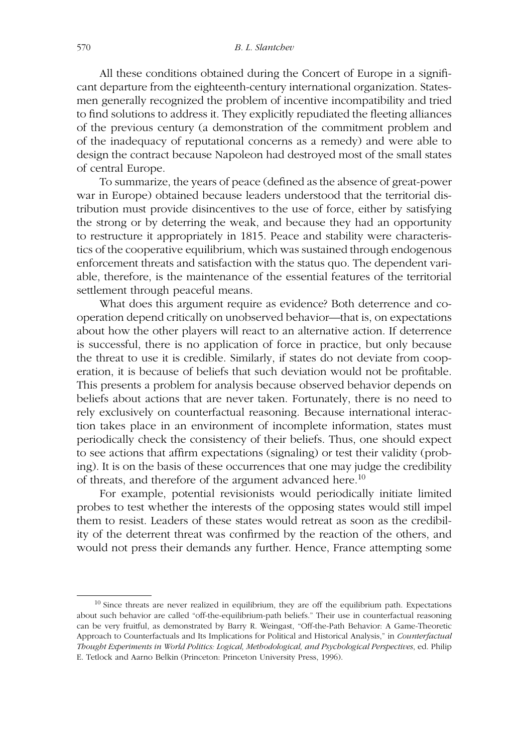All these conditions obtained during the Concert of Europe in a significant departure from the eighteenth-century international organization. Statesmen generally recognized the problem of incentive incompatibility and tried to find solutions to address it. They explicitly repudiated the fleeting alliances of the previous century (a demonstration of the commitment problem and of the inadequacy of reputational concerns as a remedy) and were able to design the contract because Napoleon had destroyed most of the small states of central Europe.

To summarize, the years of peace (defined as the absence of great-power war in Europe) obtained because leaders understood that the territorial distribution must provide disincentives to the use of force, either by satisfying the strong or by deterring the weak, and because they had an opportunity to restructure it appropriately in 1815. Peace and stability were characteristics of the cooperative equilibrium, which was sustained through endogenous enforcement threats and satisfaction with the status quo. The dependent variable, therefore, is the maintenance of the essential features of the territorial settlement through peaceful means.

What does this argument require as evidence? Both deterrence and cooperation depend critically on unobserved behavior—that is, on expectations about how the other players will react to an alternative action. If deterrence is successful, there is no application of force in practice, but only because the threat to use it is credible. Similarly, if states do not deviate from cooperation, it is because of beliefs that such deviation would not be profitable. This presents a problem for analysis because observed behavior depends on beliefs about actions that are never taken. Fortunately, there is no need to rely exclusively on counterfactual reasoning. Because international interaction takes place in an environment of incomplete information, states must periodically check the consistency of their beliefs. Thus, one should expect to see actions that affirm expectations (signaling) or test their validity (probing). It is on the basis of these occurrences that one may judge the credibility of threats, and therefore of the argument advanced here.<sup>10</sup>

For example, potential revisionists would periodically initiate limited probes to test whether the interests of the opposing states would still impel them to resist. Leaders of these states would retreat as soon as the credibility of the deterrent threat was confirmed by the reaction of the others, and would not press their demands any further. Hence, France attempting some

 $10$  Since threats are never realized in equilibrium, they are off the equilibrium path. Expectations about such behavior are called "off-the-equilibrium-path beliefs." Their use in counterfactual reasoning can be very fruitful, as demonstrated by Barry R. Weingast, "Off-the-Path Behavior: A Game-Theoretic Approach to Counterfactuals and Its Implications for Political and Historical Analysis," in *Counterfactual Thought Experiments in World Politics: Logical, Methodological, and Psychological Perspectives*, ed. Philip E. Tetlock and Aarno Belkin (Princeton: Princeton University Press, 1996).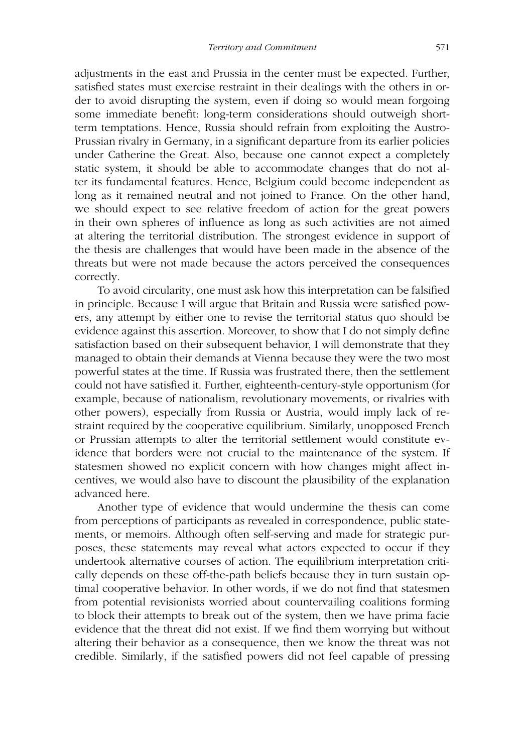adjustments in the east and Prussia in the center must be expected. Further, satisfied states must exercise restraint in their dealings with the others in order to avoid disrupting the system, even if doing so would mean forgoing some immediate benefit: long-term considerations should outweigh shortterm temptations. Hence, Russia should refrain from exploiting the Austro-Prussian rivalry in Germany, in a significant departure from its earlier policies under Catherine the Great. Also, because one cannot expect a completely static system, it should be able to accommodate changes that do not alter its fundamental features. Hence, Belgium could become independent as long as it remained neutral and not joined to France. On the other hand, we should expect to see relative freedom of action for the great powers in their own spheres of influence as long as such activities are not aimed at altering the territorial distribution. The strongest evidence in support of the thesis are challenges that would have been made in the absence of the threats but were not made because the actors perceived the consequences correctly.

To avoid circularity, one must ask how this interpretation can be falsified in principle. Because I will argue that Britain and Russia were satisfied powers, any attempt by either one to revise the territorial status quo should be evidence against this assertion. Moreover, to show that I do not simply define satisfaction based on their subsequent behavior, I will demonstrate that they managed to obtain their demands at Vienna because they were the two most powerful states at the time. If Russia was frustrated there, then the settlement could not have satisfied it. Further, eighteenth-century-style opportunism (for example, because of nationalism, revolutionary movements, or rivalries with other powers), especially from Russia or Austria, would imply lack of restraint required by the cooperative equilibrium. Similarly, unopposed French or Prussian attempts to alter the territorial settlement would constitute evidence that borders were not crucial to the maintenance of the system. If statesmen showed no explicit concern with how changes might affect incentives, we would also have to discount the plausibility of the explanation advanced here.

Another type of evidence that would undermine the thesis can come from perceptions of participants as revealed in correspondence, public statements, or memoirs. Although often self-serving and made for strategic purposes, these statements may reveal what actors expected to occur if they undertook alternative courses of action. The equilibrium interpretation critically depends on these off-the-path beliefs because they in turn sustain optimal cooperative behavior. In other words, if we do not find that statesmen from potential revisionists worried about countervailing coalitions forming to block their attempts to break out of the system, then we have prima facie evidence that the threat did not exist. If we find them worrying but without altering their behavior as a consequence, then we know the threat was not credible. Similarly, if the satisfied powers did not feel capable of pressing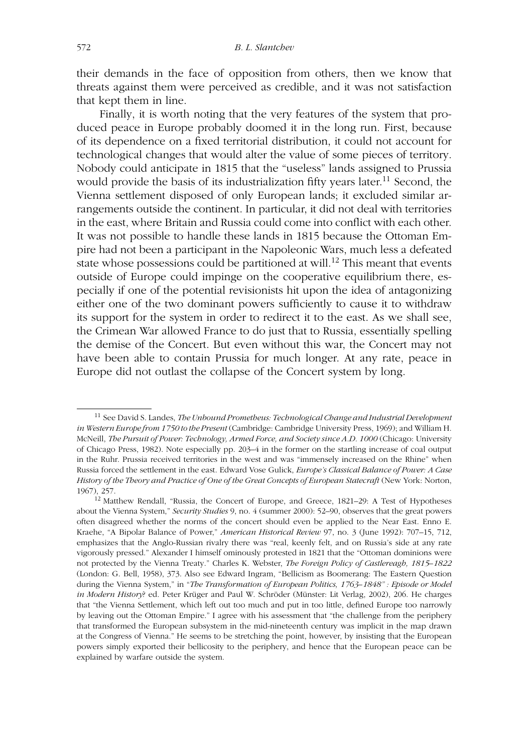their demands in the face of opposition from others, then we know that threats against them were perceived as credible, and it was not satisfaction that kept them in line.

Finally, it is worth noting that the very features of the system that produced peace in Europe probably doomed it in the long run. First, because of its dependence on a fixed territorial distribution, it could not account for technological changes that would alter the value of some pieces of territory. Nobody could anticipate in 1815 that the "useless" lands assigned to Prussia would provide the basis of its industrialization fifty years later.<sup>11</sup> Second, the Vienna settlement disposed of only European lands; it excluded similar arrangements outside the continent. In particular, it did not deal with territories in the east, where Britain and Russia could come into conflict with each other. It was not possible to handle these lands in 1815 because the Ottoman Empire had not been a participant in the Napoleonic Wars, much less a defeated state whose possessions could be partitioned at will.<sup>12</sup> This meant that events outside of Europe could impinge on the cooperative equilibrium there, especially if one of the potential revisionists hit upon the idea of antagonizing either one of the two dominant powers sufficiently to cause it to withdraw its support for the system in order to redirect it to the east. As we shall see, the Crimean War allowed France to do just that to Russia, essentially spelling the demise of the Concert. But even without this war, the Concert may not have been able to contain Prussia for much longer. At any rate, peace in Europe did not outlast the collapse of the Concert system by long.

<sup>11</sup> See David S. Landes, *The Unbound Prometheus: Technological Change and Industrial Development in Western Europe from 1750 to the Present* (Cambridge: Cambridge University Press, 1969); and William H. McNeill, *The Pursuit of Power: Technology, Armed Force, and Society since A.D. 1000* (Chicago: University of Chicago Press, 1982). Note especially pp. 203–4 in the former on the startling increase of coal output in the Ruhr. Prussia received territories in the west and was "immensely increased on the Rhine" when Russia forced the settlement in the east. Edward Vose Gulick, *Europe's Classical Balance of Power: A Case History of the Theory and Practice of One of the Great Concepts of European Statecraft* (New York: Norton, 1967), 257.

<sup>&</sup>lt;sup>12</sup> Matthew Rendall, "Russia, the Concert of Europe, and Greece, 1821–29: A Test of Hypotheses about the Vienna System," *Security Studies* 9, no. 4 (summer 2000): 52–90, observes that the great powers often disagreed whether the norms of the concert should even be applied to the Near East. Enno E. Kraehe, "A Bipolar Balance of Power," *American Historical Review* 97, no. 3 (June 1992): 707–15, 712, emphasizes that the Anglo-Russian rivalry there was "real, keenly felt, and on Russia's side at any rate vigorously pressed." Alexander I himself ominously protested in 1821 that the "Ottoman dominions were not protected by the Vienna Treaty." Charles K. Webster, *The Foreign Policy of Castlereagh, 1815–1822* (London: G. Bell, 1958), 373. Also see Edward Ingram, "Bellicism as Boomerang: The Eastern Question during the Vienna System," in "*The Transformation of European Politics, 1763–1848" : Episode or Model in Modern History*? ed. Peter Krüger and Paul W. Schröder (Münster: Lit Verlag, 2002), 206. He charges that "the Vienna Settlement, which left out too much and put in too little, defined Europe too narrowly by leaving out the Ottoman Empire." I agree with his assessment that "the challenge from the periphery that transformed the European subsystem in the mid-nineteenth century was implicit in the map drawn at the Congress of Vienna." He seems to be stretching the point, however, by insisting that the European powers simply exported their bellicosity to the periphery, and hence that the European peace can be explained by warfare outside the system.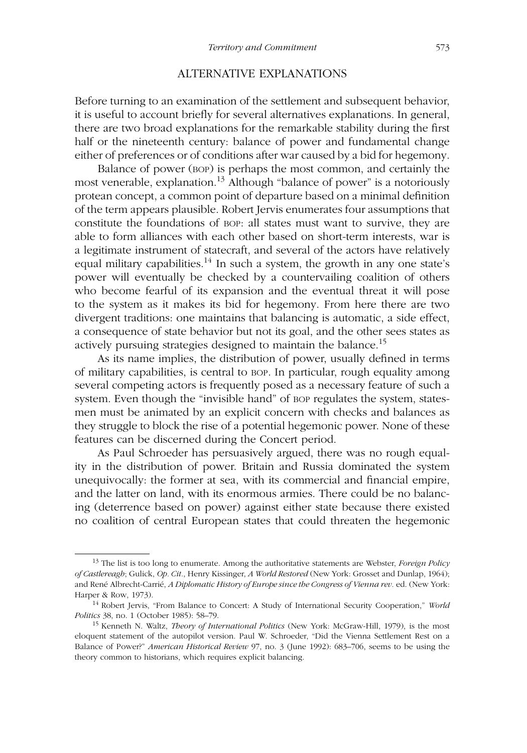#### ALTERNATIVE EXPLANATIONS

Before turning to an examination of the settlement and subsequent behavior, it is useful to account briefly for several alternatives explanations. In general, there are two broad explanations for the remarkable stability during the first half or the nineteenth century: balance of power and fundamental change either of preferences or of conditions after war caused by a bid for hegemony.

Balance of power (BOP) is perhaps the most common, and certainly the most venerable, explanation.<sup>13</sup> Although "balance of power" is a notoriously protean concept, a common point of departure based on a minimal definition of the term appears plausible. Robert Jervis enumerates four assumptions that constitute the foundations of BOP: all states must want to survive, they are able to form alliances with each other based on short-term interests, war is a legitimate instrument of statecraft, and several of the actors have relatively equal military capabilities.<sup>14</sup> In such a system, the growth in any one state's power will eventually be checked by a countervailing coalition of others who become fearful of its expansion and the eventual threat it will pose to the system as it makes its bid for hegemony. From here there are two divergent traditions: one maintains that balancing is automatic, a side effect, a consequence of state behavior but not its goal, and the other sees states as actively pursuing strategies designed to maintain the balance.15

As its name implies, the distribution of power, usually defined in terms of military capabilities, is central to BOP. In particular, rough equality among several competing actors is frequently posed as a necessary feature of such a system. Even though the "invisible hand" of BOP regulates the system, statesmen must be animated by an explicit concern with checks and balances as they struggle to block the rise of a potential hegemonic power. None of these features can be discerned during the Concert period.

As Paul Schroeder has persuasively argued, there was no rough equality in the distribution of power. Britain and Russia dominated the system unequivocally: the former at sea, with its commercial and financial empire, and the latter on land, with its enormous armies. There could be no balancing (deterrence based on power) against either state because there existed no coalition of central European states that could threaten the hegemonic

<sup>13</sup> The list is too long to enumerate. Among the authoritative statements are Webster, *Foreign Policy of Castlereagh*; Gulick, *Op. Cit.*, Henry Kissinger, *A World Restored* (New York: Grosset and Dunlap, 1964); and Rene´ Albrecht-Carrie,´ *A Diplomatic History of Europe since the Congress of Vienna rev.* ed. (New York: Harper & Row, 1973).

<sup>14</sup> Robert Jervis, "From Balance to Concert: A Study of International Security Cooperation," *World Politics* 38, no. 1 (October 1985): 58–79.

<sup>15</sup> Kenneth N. Waltz, *Theory of International Politics* (New York: McGraw-Hill, 1979), is the most eloquent statement of the autopilot version. Paul W. Schroeder, "Did the Vienna Settlement Rest on a Balance of Power?" *American Historical Review* 97, no. 3 (June 1992): 683–706, seems to be using the theory common to historians, which requires explicit balancing.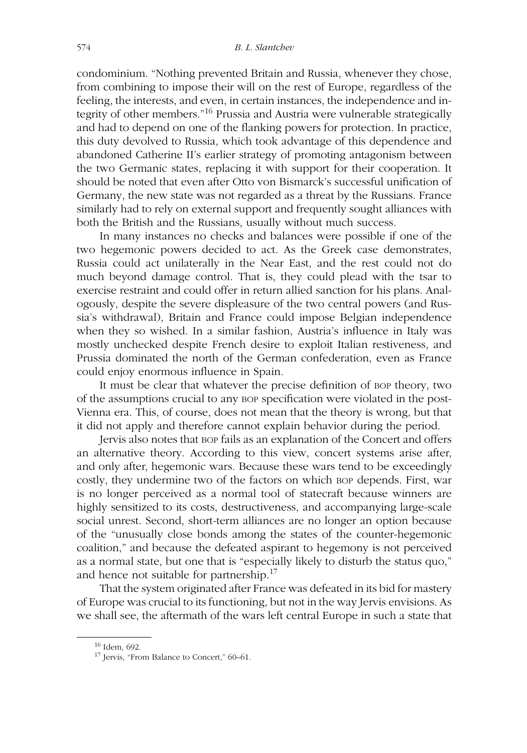condominium. "Nothing prevented Britain and Russia, whenever they chose, from combining to impose their will on the rest of Europe, regardless of the feeling, the interests, and even, in certain instances, the independence and integrity of other members."16 Prussia and Austria were vulnerable strategically and had to depend on one of the flanking powers for protection. In practice, this duty devolved to Russia, which took advantage of this dependence and abandoned Catherine II's earlier strategy of promoting antagonism between the two Germanic states, replacing it with support for their cooperation. It should be noted that even after Otto von Bismarck's successful unification of Germany, the new state was not regarded as a threat by the Russians. France similarly had to rely on external support and frequently sought alliances with both the British and the Russians, usually without much success.

In many instances no checks and balances were possible if one of the two hegemonic powers decided to act. As the Greek case demonstrates, Russia could act unilaterally in the Near East, and the rest could not do much beyond damage control. That is, they could plead with the tsar to exercise restraint and could offer in return allied sanction for his plans. Analogously, despite the severe displeasure of the two central powers (and Russia's withdrawal), Britain and France could impose Belgian independence when they so wished. In a similar fashion, Austria's influence in Italy was mostly unchecked despite French desire to exploit Italian restiveness, and Prussia dominated the north of the German confederation, even as France could enjoy enormous influence in Spain.

It must be clear that whatever the precise definition of BOP theory, two of the assumptions crucial to any BOP specification were violated in the post-Vienna era. This, of course, does not mean that the theory is wrong, but that it did not apply and therefore cannot explain behavior during the period.

Jervis also notes that BOP fails as an explanation of the Concert and offers an alternative theory. According to this view, concert systems arise after, and only after, hegemonic wars. Because these wars tend to be exceedingly costly, they undermine two of the factors on which BOP depends. First, war is no longer perceived as a normal tool of statecraft because winners are highly sensitized to its costs, destructiveness, and accompanying large-scale social unrest. Second, short-term alliances are no longer an option because of the "unusually close bonds among the states of the counter-hegemonic coalition," and because the defeated aspirant to hegemony is not perceived as a normal state, but one that is "especially likely to disturb the status quo," and hence not suitable for partnership.<sup>17</sup>

That the system originated after France was defeated in its bid for mastery of Europe was crucial to its functioning, but not in the way Jervis envisions. As we shall see, the aftermath of the wars left central Europe in such a state that

 $16$  Idem, 692.

<sup>17</sup> Jervis, "From Balance to Concert," 60–61.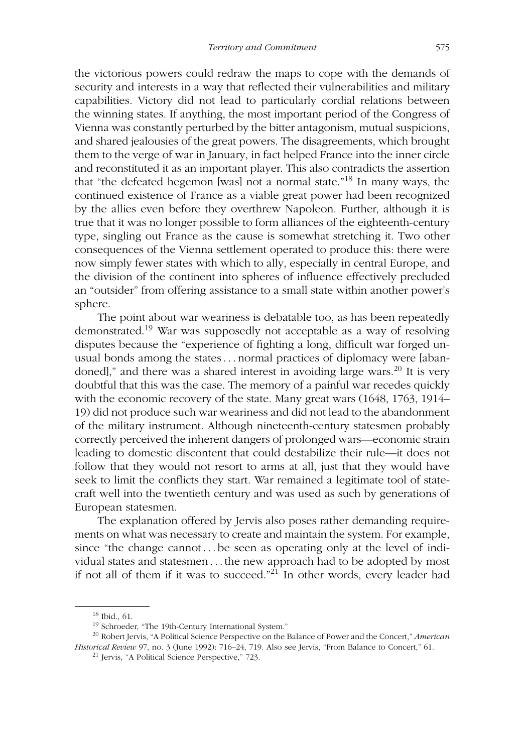the victorious powers could redraw the maps to cope with the demands of security and interests in a way that reflected their vulnerabilities and military capabilities. Victory did not lead to particularly cordial relations between the winning states. If anything, the most important period of the Congress of Vienna was constantly perturbed by the bitter antagonism, mutual suspicions, and shared jealousies of the great powers. The disagreements, which brought them to the verge of war in January, in fact helped France into the inner circle and reconstituted it as an important player. This also contradicts the assertion that "the defeated hegemon [was] not a normal state."<sup>18</sup> In many ways, the continued existence of France as a viable great power had been recognized by the allies even before they overthrew Napoleon. Further, although it is true that it was no longer possible to form alliances of the eighteenth-century type, singling out France as the cause is somewhat stretching it. Two other consequences of the Vienna settlement operated to produce this: there were now simply fewer states with which to ally, especially in central Europe, and the division of the continent into spheres of influence effectively precluded an "outsider" from offering assistance to a small state within another power's sphere.

The point about war weariness is debatable too, as has been repeatedly demonstrated.<sup>19</sup> War was supposedly not acceptable as a way of resolving disputes because the "experience of fighting a long, difficult war forged unusual bonds among the states . . . normal practices of diplomacy were [abandoned]," and there was a shared interest in avoiding large wars. $^{20}$  It is very doubtful that this was the case. The memory of a painful war recedes quickly with the economic recovery of the state. Many great wars (1648, 1763, 1914– 19) did not produce such war weariness and did not lead to the abandonment of the military instrument. Although nineteenth-century statesmen probably correctly perceived the inherent dangers of prolonged wars—economic strain leading to domestic discontent that could destabilize their rule—it does not follow that they would not resort to arms at all, just that they would have seek to limit the conflicts they start. War remained a legitimate tool of statecraft well into the twentieth century and was used as such by generations of European statesmen.

The explanation offered by Jervis also poses rather demanding requirements on what was necessary to create and maintain the system. For example, since "the change cannot . . . be seen as operating only at the level of individual states and statesmen . . . the new approach had to be adopted by most if not all of them if it was to succeed."<sup>21</sup> In other words, every leader had

<sup>18</sup> Ibid., 61.

<sup>19</sup> Schroeder, "The 19th-Century International System."

<sup>20</sup> Robert Jervis, "A Political Science Perspective on the Balance of Power and the Concert," *American Historical Review* 97, no. 3 (June 1992): 716–24, 719. Also see Jervis, "From Balance to Concert," 61.

<sup>21</sup> Jervis, "A Political Science Perspective," 723.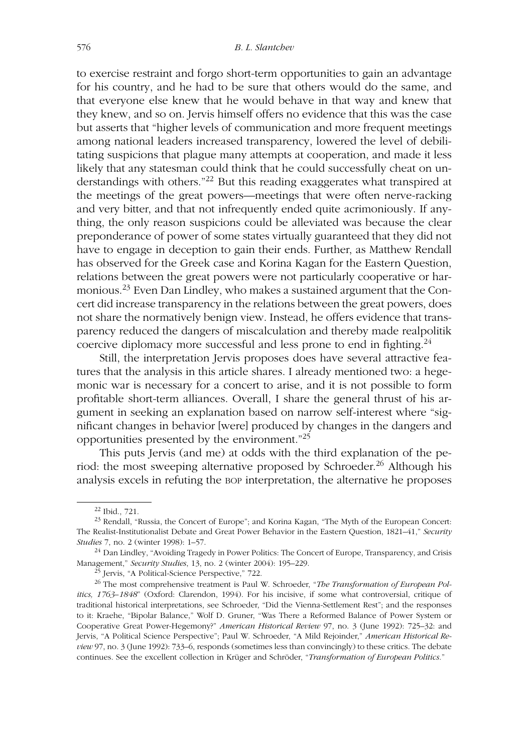to exercise restraint and forgo short-term opportunities to gain an advantage for his country, and he had to be sure that others would do the same, and that everyone else knew that he would behave in that way and knew that they knew, and so on. Jervis himself offers no evidence that this was the case but asserts that "higher levels of communication and more frequent meetings among national leaders increased transparency, lowered the level of debilitating suspicions that plague many attempts at cooperation, and made it less likely that any statesman could think that he could successfully cheat on understandings with others."<sup>22</sup> But this reading exaggerates what transpired at the meetings of the great powers—meetings that were often nerve-racking and very bitter, and that not infrequently ended quite acrimoniously. If anything, the only reason suspicions could be alleviated was because the clear preponderance of power of some states virtually guaranteed that they did not have to engage in deception to gain their ends. Further, as Matthew Rendall has observed for the Greek case and Korina Kagan for the Eastern Question, relations between the great powers were not particularly cooperative or harmonious.<sup>23</sup> Even Dan Lindley, who makes a sustained argument that the Concert did increase transparency in the relations between the great powers, does not share the normatively benign view. Instead, he offers evidence that transparency reduced the dangers of miscalculation and thereby made realpolitik coercive diplomacy more successful and less prone to end in fighting.<sup>24</sup>

Still, the interpretation Jervis proposes does have several attractive features that the analysis in this article shares. I already mentioned two: a hegemonic war is necessary for a concert to arise, and it is not possible to form profitable short-term alliances. Overall, I share the general thrust of his argument in seeking an explanation based on narrow self-interest where "significant changes in behavior [were] produced by changes in the dangers and opportunities presented by the environment."<sup>25</sup>

This puts Jervis (and me) at odds with the third explanation of the period: the most sweeping alternative proposed by Schroeder.<sup>26</sup> Although his analysis excels in refuting the BOP interpretation, the alternative he proposes

<sup>22</sup> Ibid., 721.

<sup>&</sup>lt;sup>23</sup> Rendall, "Russia, the Concert of Europe"; and Korina Kagan, "The Myth of the European Concert: The Realist-Institutionalist Debate and Great Power Behavior in the Eastern Question, 1821–41," *Security Studies* 7, no. 2 (winter 1998): 1–57.

<sup>&</sup>lt;sup>24</sup> Dan Lindley, "Avoiding Tragedy in Power Politics: The Concert of Europe, Transparency, and Crisis Management," *Security Studies*, 13, no. 2 (winter 2004): 195–229.

<sup>25</sup> Jervis, "A Political-Science Perspective," 722.

<sup>26</sup> The most comprehensive treatment is Paul W. Schroeder, "*The Transformation of European Politics, 1763–1848*" (Oxford: Clarendon, 1994). For his incisive, if some what controversial, critique of traditional historical interpretations, see Schroeder, "Did the Vienna-Settlement Rest"; and the responses to it: Kraehe, "Bipolar Balance," Wolf D. Gruner, "Was There a Reformed Balance of Power System or Cooperative Great Power-Hegemony?" *American Historical Review* 97, no. 3 (June 1992): 725–32: and Jervis, "A Political Science Perspective"; Paul W. Schroeder, "A Mild Rejoinder," *American Historical Review* 97, no. 3 (June 1992): 733–6, responds (sometimes less than convincingly) to these critics. The debate continues. See the excellent collection in Krüger and Schröder, "*Transformation of European Politics.*"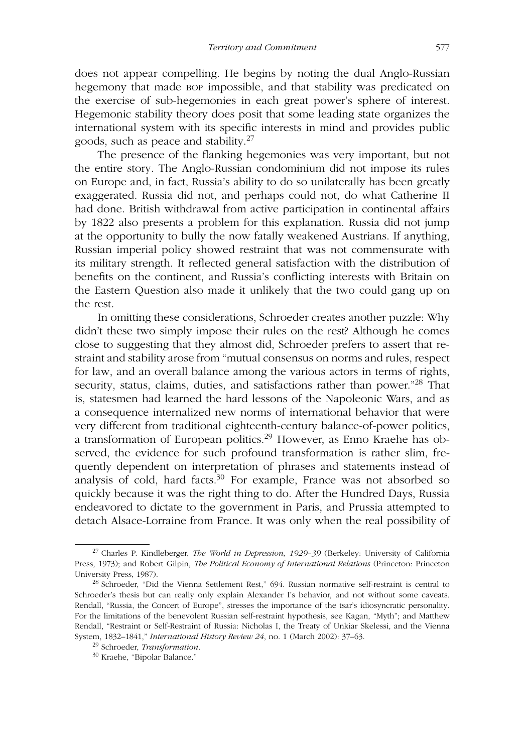does not appear compelling. He begins by noting the dual Anglo-Russian hegemony that made BOP impossible, and that stability was predicated on the exercise of sub-hegemonies in each great power's sphere of interest. Hegemonic stability theory does posit that some leading state organizes the international system with its specific interests in mind and provides public goods, such as peace and stability.27

The presence of the flanking hegemonies was very important, but not the entire story. The Anglo-Russian condominium did not impose its rules on Europe and, in fact, Russia's ability to do so unilaterally has been greatly exaggerated. Russia did not, and perhaps could not, do what Catherine II had done. British withdrawal from active participation in continental affairs by 1822 also presents a problem for this explanation. Russia did not jump at the opportunity to bully the now fatally weakened Austrians. If anything, Russian imperial policy showed restraint that was not commensurate with its military strength. It reflected general satisfaction with the distribution of benefits on the continent, and Russia's conflicting interests with Britain on the Eastern Question also made it unlikely that the two could gang up on the rest.

In omitting these considerations, Schroeder creates another puzzle: Why didn't these two simply impose their rules on the rest? Although he comes close to suggesting that they almost did, Schroeder prefers to assert that restraint and stability arose from "mutual consensus on norms and rules, respect for law, and an overall balance among the various actors in terms of rights, security, status, claims, duties, and satisfactions rather than power."<sup>28</sup> That is, statesmen had learned the hard lessons of the Napoleonic Wars, and as a consequence internalized new norms of international behavior that were very different from traditional eighteenth-century balance-of-power politics, a transformation of European politics.<sup>29</sup> However, as Enno Kraehe has observed, the evidence for such profound transformation is rather slim, frequently dependent on interpretation of phrases and statements instead of analysis of cold, hard facts. $30$  For example, France was not absorbed so quickly because it was the right thing to do. After the Hundred Days, Russia endeavored to dictate to the government in Paris, and Prussia attempted to detach Alsace-Lorraine from France. It was only when the real possibility of

<sup>27</sup> Charles P. Kindleberger, *The World in Depression, 1929–39* (Berkeley: University of California Press, 1973); and Robert Gilpin, *The Political Economy of International Relations* (Princeton: Princeton University Press, 1987).

<sup>&</sup>lt;sup>28</sup> Schroeder, "Did the Vienna Settlement Rest," 694. Russian normative self-restraint is central to Schroeder's thesis but can really only explain Alexander I's behavior, and not without some caveats. Rendall, "Russia, the Concert of Europe", stresses the importance of the tsar's idiosyncratic personality. For the limitations of the benevolent Russian self-restraint hypothesis, see Kagan, "Myth"; and Matthew Rendall, "Restraint or Self-Restraint of Russia: Nicholas I, the Treaty of Unkiar Skelessi, and the Vienna System, 1832–1841," *International History Review 24*, no. 1 (March 2002): 37–63.

<sup>29</sup> Schroeder, *Transformation*.

<sup>30</sup> Kraehe, "Bipolar Balance."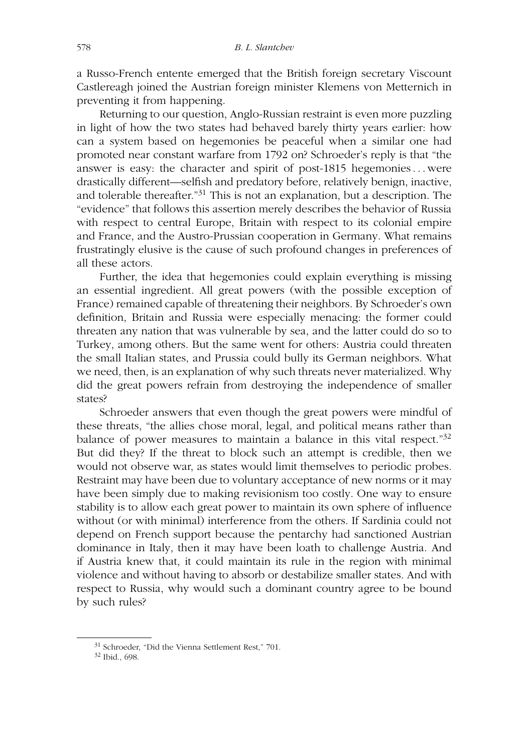a Russo-French entente emerged that the British foreign secretary Viscount Castlereagh joined the Austrian foreign minister Klemens von Metternich in preventing it from happening.

Returning to our question, Anglo-Russian restraint is even more puzzling in light of how the two states had behaved barely thirty years earlier: how can a system based on hegemonies be peaceful when a similar one had promoted near constant warfare from 1792 on? Schroeder's reply is that "the answer is easy: the character and spirit of post-1815 hegemonies...were drastically different—selfish and predatory before, relatively benign, inactive, and tolerable thereafter."<sup>31</sup> This is not an explanation, but a description. The "evidence" that follows this assertion merely describes the behavior of Russia with respect to central Europe, Britain with respect to its colonial empire and France, and the Austro-Prussian cooperation in Germany. What remains frustratingly elusive is the cause of such profound changes in preferences of all these actors.

Further, the idea that hegemonies could explain everything is missing an essential ingredient. All great powers (with the possible exception of France) remained capable of threatening their neighbors. By Schroeder's own definition, Britain and Russia were especially menacing: the former could threaten any nation that was vulnerable by sea, and the latter could do so to Turkey, among others. But the same went for others: Austria could threaten the small Italian states, and Prussia could bully its German neighbors. What we need, then, is an explanation of why such threats never materialized. Why did the great powers refrain from destroying the independence of smaller states?

Schroeder answers that even though the great powers were mindful of these threats, "the allies chose moral, legal, and political means rather than balance of power measures to maintain a balance in this vital respect."32 But did they? If the threat to block such an attempt is credible, then we would not observe war, as states would limit themselves to periodic probes. Restraint may have been due to voluntary acceptance of new norms or it may have been simply due to making revisionism too costly. One way to ensure stability is to allow each great power to maintain its own sphere of influence without (or with minimal) interference from the others. If Sardinia could not depend on French support because the pentarchy had sanctioned Austrian dominance in Italy, then it may have been loath to challenge Austria. And if Austria knew that, it could maintain its rule in the region with minimal violence and without having to absorb or destabilize smaller states. And with respect to Russia, why would such a dominant country agree to be bound by such rules?

<sup>31</sup> Schroeder, "Did the Vienna Settlement Rest," 701.

<sup>32</sup> Ibid., 698.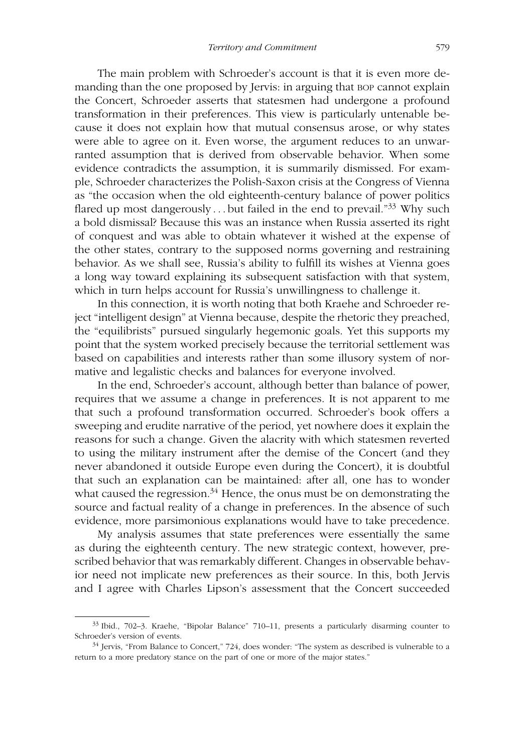The main problem with Schroeder's account is that it is even more demanding than the one proposed by Jervis: in arguing that BOP cannot explain the Concert, Schroeder asserts that statesmen had undergone a profound transformation in their preferences. This view is particularly untenable because it does not explain how that mutual consensus arose, or why states were able to agree on it. Even worse, the argument reduces to an unwarranted assumption that is derived from observable behavior. When some evidence contradicts the assumption, it is summarily dismissed. For example, Schroeder characterizes the Polish-Saxon crisis at the Congress of Vienna as "the occasion when the old eighteenth-century balance of power politics flared up most dangerously ... but failed in the end to prevail."<sup>33</sup> Why such a bold dismissal? Because this was an instance when Russia asserted its right of conquest and was able to obtain whatever it wished at the expense of the other states, contrary to the supposed norms governing and restraining behavior. As we shall see, Russia's ability to fulfill its wishes at Vienna goes a long way toward explaining its subsequent satisfaction with that system, which in turn helps account for Russia's unwillingness to challenge it.

In this connection, it is worth noting that both Kraehe and Schroeder reject "intelligent design" at Vienna because, despite the rhetoric they preached, the "equilibrists" pursued singularly hegemonic goals. Yet this supports my point that the system worked precisely because the territorial settlement was based on capabilities and interests rather than some illusory system of normative and legalistic checks and balances for everyone involved.

In the end, Schroeder's account, although better than balance of power, requires that we assume a change in preferences. It is not apparent to me that such a profound transformation occurred. Schroeder's book offers a sweeping and erudite narrative of the period, yet nowhere does it explain the reasons for such a change. Given the alacrity with which statesmen reverted to using the military instrument after the demise of the Concert (and they never abandoned it outside Europe even during the Concert), it is doubtful that such an explanation can be maintained: after all, one has to wonder what caused the regression.<sup>34</sup> Hence, the onus must be on demonstrating the source and factual reality of a change in preferences. In the absence of such evidence, more parsimonious explanations would have to take precedence.

My analysis assumes that state preferences were essentially the same as during the eighteenth century. The new strategic context, however, prescribed behavior that was remarkably different. Changes in observable behavior need not implicate new preferences as their source. In this, both Jervis and I agree with Charles Lipson's assessment that the Concert succeeded

<sup>33</sup> Ibid., 702–3. Kraehe, "Bipolar Balance" 710–11, presents a particularly disarming counter to Schroeder's version of events.

 $34$  Jervis, "From Balance to Concert," 724, does wonder: "The system as described is vulnerable to a return to a more predatory stance on the part of one or more of the major states."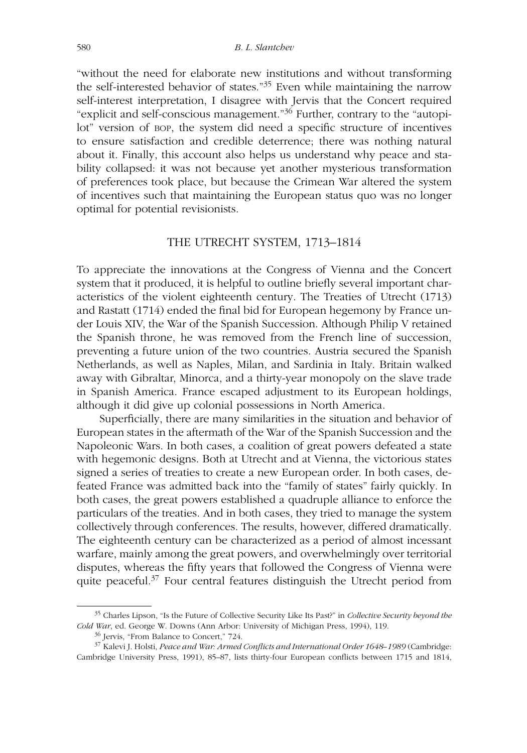"without the need for elaborate new institutions and without transforming the self-interested behavior of states."35 Even while maintaining the narrow self-interest interpretation, I disagree with Jervis that the Concert required "explicit and self-conscious management."<sup>36</sup> Further, contrary to the "autopilot" version of BOP, the system did need a specific structure of incentives to ensure satisfaction and credible deterrence; there was nothing natural about it. Finally, this account also helps us understand why peace and stability collapsed: it was not because yet another mysterious transformation of preferences took place, but because the Crimean War altered the system of incentives such that maintaining the European status quo was no longer optimal for potential revisionists.

#### THE UTRECHT SYSTEM, 1713–1814

To appreciate the innovations at the Congress of Vienna and the Concert system that it produced, it is helpful to outline briefly several important characteristics of the violent eighteenth century. The Treaties of Utrecht (1713) and Rastatt (1714) ended the final bid for European hegemony by France under Louis XIV, the War of the Spanish Succession. Although Philip V retained the Spanish throne, he was removed from the French line of succession, preventing a future union of the two countries. Austria secured the Spanish Netherlands, as well as Naples, Milan, and Sardinia in Italy. Britain walked away with Gibraltar, Minorca, and a thirty-year monopoly on the slave trade in Spanish America. France escaped adjustment to its European holdings, although it did give up colonial possessions in North America.

Superficially, there are many similarities in the situation and behavior of European states in the aftermath of the War of the Spanish Succession and the Napoleonic Wars. In both cases, a coalition of great powers defeated a state with hegemonic designs. Both at Utrecht and at Vienna, the victorious states signed a series of treaties to create a new European order. In both cases, defeated France was admitted back into the "family of states" fairly quickly. In both cases, the great powers established a quadruple alliance to enforce the particulars of the treaties. And in both cases, they tried to manage the system collectively through conferences. The results, however, differed dramatically. The eighteenth century can be characterized as a period of almost incessant warfare, mainly among the great powers, and overwhelmingly over territorial disputes, whereas the fifty years that followed the Congress of Vienna were quite peaceful.<sup>37</sup> Four central features distinguish the Utrecht period from

<sup>35</sup> Charles Lipson, "Is the Future of Collective Security Like Its Past?" in *Collective Security beyond the Cold War*, ed. George W. Downs (Ann Arbor: University of Michigan Press, 1994), 119.

<sup>36</sup> Jervis, "From Balance to Concert," 724.

<sup>37</sup> Kalevi J. Holsti, *Peace and War: Armed Conflicts and International Order 1648–1989* (Cambridge: Cambridge University Press, 1991), 85–87, lists thirty-four European conflicts between 1715 and 1814,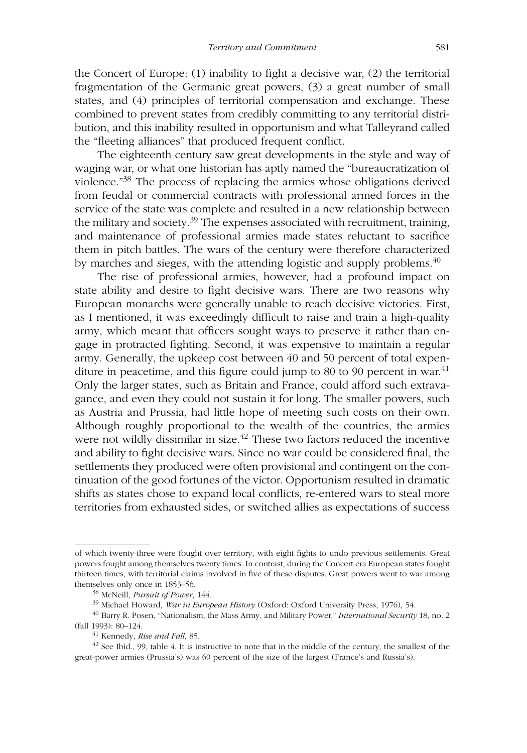the Concert of Europe: (1) inability to fight a decisive war, (2) the territorial fragmentation of the Germanic great powers, (3) a great number of small states, and (4) principles of territorial compensation and exchange. These combined to prevent states from credibly committing to any territorial distribution, and this inability resulted in opportunism and what Talleyrand called the "fleeting alliances" that produced frequent conflict.

The eighteenth century saw great developments in the style and way of waging war, or what one historian has aptly named the "bureaucratization of violence."<sup>38</sup> The process of replacing the armies whose obligations derived from feudal or commercial contracts with professional armed forces in the service of the state was complete and resulted in a new relationship between the military and society.<sup>39</sup> The expenses associated with recruitment, training, and maintenance of professional armies made states reluctant to sacrifice them in pitch battles. The wars of the century were therefore characterized by marches and sieges, with the attending logistic and supply problems.<sup>40</sup>

The rise of professional armies, however, had a profound impact on state ability and desire to fight decisive wars. There are two reasons why European monarchs were generally unable to reach decisive victories. First, as I mentioned, it was exceedingly difficult to raise and train a high-quality army, which meant that officers sought ways to preserve it rather than engage in protracted fighting. Second, it was expensive to maintain a regular army. Generally, the upkeep cost between 40 and 50 percent of total expenditure in peacetime, and this figure could jump to 80 to 90 percent in war.<sup>41</sup> Only the larger states, such as Britain and France, could afford such extravagance, and even they could not sustain it for long. The smaller powers, such as Austria and Prussia, had little hope of meeting such costs on their own. Although roughly proportional to the wealth of the countries, the armies were not wildly dissimilar in size.<sup>42</sup> These two factors reduced the incentive and ability to fight decisive wars. Since no war could be considered final, the settlements they produced were often provisional and contingent on the continuation of the good fortunes of the victor. Opportunism resulted in dramatic shifts as states chose to expand local conflicts, re-entered wars to steal more territories from exhausted sides, or switched allies as expectations of success

of which twenty-three were fought over territory, with eight fights to undo previous settlements. Great powers fought among themselves twenty times. In contrast, during the Concert era European states fought thirteen times, with territorial claims involved in five of these disputes. Great powers went to war among themselves only once in 1853–56.

<sup>38</sup> McNeill, *Pursuit of Power*, 144.

<sup>39</sup> Michael Howard, *War in European History* (Oxford: Oxford University Press, 1976), 54.

<sup>40</sup> Barry R. Posen, "Nationalism, the Mass Army, and Military Power," *International Security* 18, no. 2 (fall 1993): 80–124.

<sup>41</sup> Kennedy, *Rise and Fall*, 85.

 $42$  See Ibid., 99, table 4. It is instructive to note that in the middle of the century, the smallest of the great-power armies (Prussia's) was 60 percent of the size of the largest (France's and Russia's).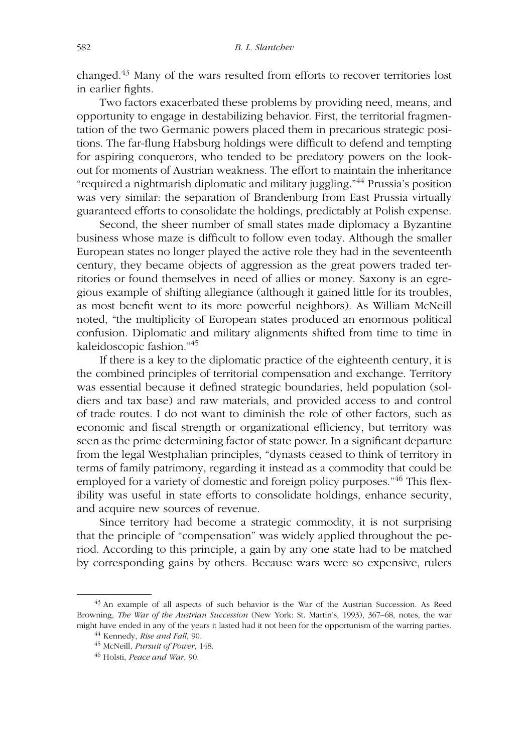changed.43 Many of the wars resulted from efforts to recover territories lost in earlier fights.

Two factors exacerbated these problems by providing need, means, and opportunity to engage in destabilizing behavior. First, the territorial fragmentation of the two Germanic powers placed them in precarious strategic positions. The far-flung Habsburg holdings were difficult to defend and tempting for aspiring conquerors, who tended to be predatory powers on the lookout for moments of Austrian weakness. The effort to maintain the inheritance "required a nightmarish diplomatic and military juggling."<sup>44</sup> Prussia's position was very similar: the separation of Brandenburg from East Prussia virtually guaranteed efforts to consolidate the holdings, predictably at Polish expense.

Second, the sheer number of small states made diplomacy a Byzantine business whose maze is difficult to follow even today. Although the smaller European states no longer played the active role they had in the seventeenth century, they became objects of aggression as the great powers traded territories or found themselves in need of allies or money. Saxony is an egregious example of shifting allegiance (although it gained little for its troubles, as most benefit went to its more powerful neighbors). As William McNeill noted, "the multiplicity of European states produced an enormous political confusion. Diplomatic and military alignments shifted from time to time in kaleidoscopic fashion."45

If there is a key to the diplomatic practice of the eighteenth century, it is the combined principles of territorial compensation and exchange. Territory was essential because it defined strategic boundaries, held population (soldiers and tax base) and raw materials, and provided access to and control of trade routes. I do not want to diminish the role of other factors, such as economic and fiscal strength or organizational efficiency, but territory was seen as the prime determining factor of state power. In a significant departure from the legal Westphalian principles, "dynasts ceased to think of territory in terms of family patrimony, regarding it instead as a commodity that could be employed for a variety of domestic and foreign policy purposes.<sup>"46</sup> This flexibility was useful in state efforts to consolidate holdings, enhance security, and acquire new sources of revenue.

Since territory had become a strategic commodity, it is not surprising that the principle of "compensation" was widely applied throughout the period. According to this principle, a gain by any one state had to be matched by corresponding gains by others. Because wars were so expensive, rulers

<sup>&</sup>lt;sup>43</sup> An example of all aspects of such behavior is the War of the Austrian Succession. As Reed Browning, *The War of the Austrian Succession* (New York: St. Martin's, 1993), 367–68, notes, the war might have ended in any of the years it lasted had it not been for the opportunism of the warring parties.

<sup>44</sup> Kennedy, *Rise and Fall*, 90.

<sup>45</sup> McNeill, *Pursuit of Power*, 148.

<sup>46</sup> Holsti, *Peace and War*, 90.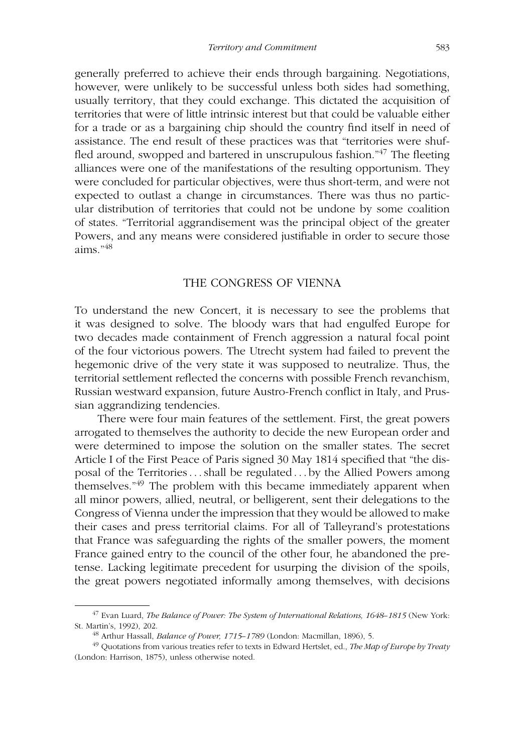generally preferred to achieve their ends through bargaining. Negotiations, however, were unlikely to be successful unless both sides had something, usually territory, that they could exchange. This dictated the acquisition of territories that were of little intrinsic interest but that could be valuable either for a trade or as a bargaining chip should the country find itself in need of assistance. The end result of these practices was that "territories were shuffled around, swopped and bartered in unscrupulous fashion."<sup>47</sup> The fleeting alliances were one of the manifestations of the resulting opportunism. They were concluded for particular objectives, were thus short-term, and were not expected to outlast a change in circumstances. There was thus no particular distribution of territories that could not be undone by some coalition of states. "Territorial aggrandisement was the principal object of the greater Powers, and any means were considered justifiable in order to secure those aims."<sup>48</sup>

#### THE CONGRESS OF VIENNA

To understand the new Concert, it is necessary to see the problems that it was designed to solve. The bloody wars that had engulfed Europe for two decades made containment of French aggression a natural focal point of the four victorious powers. The Utrecht system had failed to prevent the hegemonic drive of the very state it was supposed to neutralize. Thus, the territorial settlement reflected the concerns with possible French revanchism, Russian westward expansion, future Austro-French conflict in Italy, and Prussian aggrandizing tendencies.

There were four main features of the settlement. First, the great powers arrogated to themselves the authority to decide the new European order and were determined to impose the solution on the smaller states. The secret Article I of the First Peace of Paris signed 30 May 1814 specified that "the disposal of the Territories... shall be regulated . . . by the Allied Powers among themselves."<sup>49</sup> The problem with this became immediately apparent when all minor powers, allied, neutral, or belligerent, sent their delegations to the Congress of Vienna under the impression that they would be allowed to make their cases and press territorial claims. For all of Talleyrand's protestations that France was safeguarding the rights of the smaller powers, the moment France gained entry to the council of the other four, he abandoned the pretense. Lacking legitimate precedent for usurping the division of the spoils, the great powers negotiated informally among themselves, with decisions

<sup>47</sup> Evan Luard, *The Balance of Power: The System of International Relations, 1648–1815* (New York: St. Martin's, 1992), 202.

<sup>48</sup> Arthur Hassall, *Balance of Power, 1715–1789* (London: Macmillan, 1896), 5.

<sup>49</sup> Quotations from various treaties refer to texts in Edward Hertslet, ed., *The Map of Europe by Treaty* (London: Harrison, 1875), unless otherwise noted.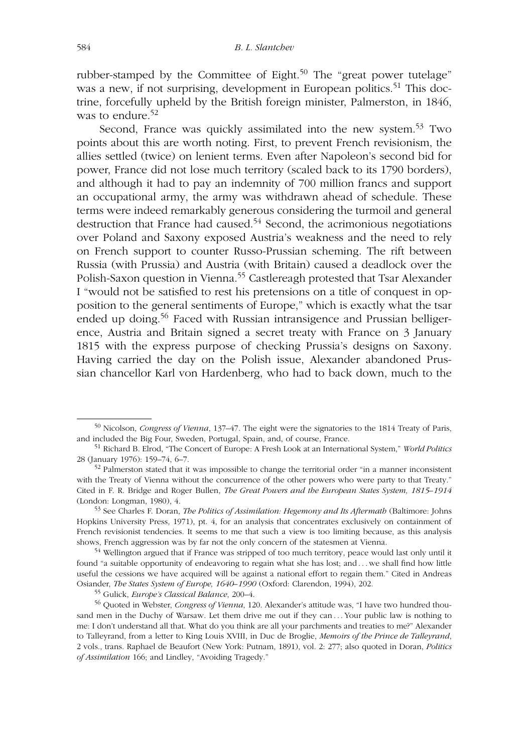rubber-stamped by the Committee of Eight.<sup>50</sup> The "great power tutelage" was a new, if not surprising, development in European politics.<sup>51</sup> This doctrine, forcefully upheld by the British foreign minister, Palmerston, in 1846, was to endure. $52$ 

Second, France was quickly assimilated into the new system.<sup>53</sup> Two points about this are worth noting. First, to prevent French revisionism, the allies settled (twice) on lenient terms. Even after Napoleon's second bid for power, France did not lose much territory (scaled back to its 1790 borders), and although it had to pay an indemnity of 700 million francs and support an occupational army, the army was withdrawn ahead of schedule. These terms were indeed remarkably generous considering the turmoil and general destruction that France had caused.<sup>54</sup> Second, the acrimonious negotiations over Poland and Saxony exposed Austria's weakness and the need to rely on French support to counter Russo-Prussian scheming. The rift between Russia (with Prussia) and Austria (with Britain) caused a deadlock over the Polish-Saxon question in Vienna.<sup>55</sup> Castlereagh protested that Tsar Alexander I "would not be satisfied to rest his pretensions on a title of conquest in opposition to the general sentiments of Europe," which is exactly what the tsar ended up doing.<sup>56</sup> Faced with Russian intransigence and Prussian belligerence, Austria and Britain signed a secret treaty with France on 3 January 1815 with the express purpose of checking Prussia's designs on Saxony. Having carried the day on the Polish issue, Alexander abandoned Prussian chancellor Karl von Hardenberg, who had to back down, much to the

<sup>50</sup> Nicolson, *Congress of Vienna*, 137–47. The eight were the signatories to the 1814 Treaty of Paris, and included the Big Four, Sweden, Portugal, Spain, and, of course, France.

<sup>51</sup> Richard B. Elrod, "The Concert of Europe: A Fresh Look at an International System," *World Politics* 28 (January 1976): 159–74, 6–7.

 $52$  Palmerston stated that it was impossible to change the territorial order "in a manner inconsistent" with the Treaty of Vienna without the concurrence of the other powers who were party to that Treaty." Cited in F. R. Bridge and Roger Bullen, *The Great Powers and the European States System, 1815–1914* (London: Longman, 1980), 4.

<sup>53</sup> See Charles F. Doran, *The Politics of Assimilation: Hegemony and Its Aftermath* (Baltimore: Johns Hopkins University Press, 1971), pt. 4, for an analysis that concentrates exclusively on containment of French revisionist tendencies. It seems to me that such a view is too limiting because, as this analysis shows, French aggression was by far not the only concern of the statesmen at Vienna.

<sup>&</sup>lt;sup>54</sup> Wellington argued that if France was stripped of too much territory, peace would last only until it found "a suitable opportunity of endeavoring to regain what she has lost; and . . . we shall find how little useful the cessions we have acquired will be against a national effort to regain them." Cited in Andreas Osiander, *The States System of Europe, 1640–1990* (Oxford: Clarendon, 1994), 202.

<sup>55</sup> Gulick, *Europe's Classical Balance*, 200–4.

<sup>56</sup> Quoted in Webster, *Congress of Vienna*, 120. Alexander's attitude was, "I have two hundred thousand men in the Duchy of Warsaw. Let them drive me out if they can ... Your public law is nothing to me: I don't understand all that. What do you think are all your parchments and treaties to me?" Alexander to Talleyrand, from a letter to King Louis XVIII, in Duc de Broglie, *Memoirs of the Prince de Talleyrand*, 2 vols., trans. Raphael de Beaufort (New York: Putnam, 1891), vol. 2: 277; also quoted in Doran, *Politics of Assimilation* 166; and Lindley, "Avoiding Tragedy."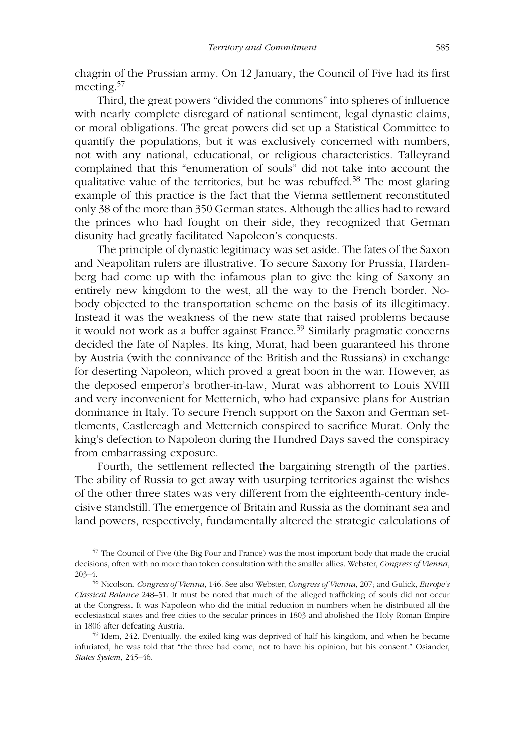chagrin of the Prussian army. On 12 January, the Council of Five had its first meeting.<sup>57</sup>

Third, the great powers "divided the commons" into spheres of influence with nearly complete disregard of national sentiment, legal dynastic claims, or moral obligations. The great powers did set up a Statistical Committee to quantify the populations, but it was exclusively concerned with numbers, not with any national, educational, or religious characteristics. Talleyrand complained that this "enumeration of souls" did not take into account the qualitative value of the territories, but he was rebuffed.58 The most glaring example of this practice is the fact that the Vienna settlement reconstituted only 38 of the more than 350 German states. Although the allies had to reward the princes who had fought on their side, they recognized that German disunity had greatly facilitated Napoleon's conquests.

The principle of dynastic legitimacy was set aside. The fates of the Saxon and Neapolitan rulers are illustrative. To secure Saxony for Prussia, Hardenberg had come up with the infamous plan to give the king of Saxony an entirely new kingdom to the west, all the way to the French border. Nobody objected to the transportation scheme on the basis of its illegitimacy. Instead it was the weakness of the new state that raised problems because it would not work as a buffer against France.<sup>59</sup> Similarly pragmatic concerns decided the fate of Naples. Its king, Murat, had been guaranteed his throne by Austria (with the connivance of the British and the Russians) in exchange for deserting Napoleon, which proved a great boon in the war. However, as the deposed emperor's brother-in-law, Murat was abhorrent to Louis XVIII and very inconvenient for Metternich, who had expansive plans for Austrian dominance in Italy. To secure French support on the Saxon and German settlements, Castlereagh and Metternich conspired to sacrifice Murat. Only the king's defection to Napoleon during the Hundred Days saved the conspiracy from embarrassing exposure.

Fourth, the settlement reflected the bargaining strength of the parties. The ability of Russia to get away with usurping territories against the wishes of the other three states was very different from the eighteenth-century indecisive standstill. The emergence of Britain and Russia as the dominant sea and land powers, respectively, fundamentally altered the strategic calculations of

<sup>&</sup>lt;sup>57</sup> The Council of Five (the Big Four and France) was the most important body that made the crucial decisions, often with no more than token consultation with the smaller allies. Webster, *Congress of Vienna*, 203–4.

<sup>58</sup> Nicolson, *Congress of Vienna*, 146. See also Webster, *Congress of Vienna*, 207; and Gulick, *Europe's Classical Balance* 248–51. It must be noted that much of the alleged trafficking of souls did not occur at the Congress. It was Napoleon who did the initial reduction in numbers when he distributed all the ecclesiastical states and free cities to the secular princes in 1803 and abolished the Holy Roman Empire in 1806 after defeating Austria.

<sup>59</sup> Idem, 242. Eventually, the exiled king was deprived of half his kingdom, and when he became infuriated, he was told that "the three had come, not to have his opinion, but his consent." Osiander, *States System*, 245–46.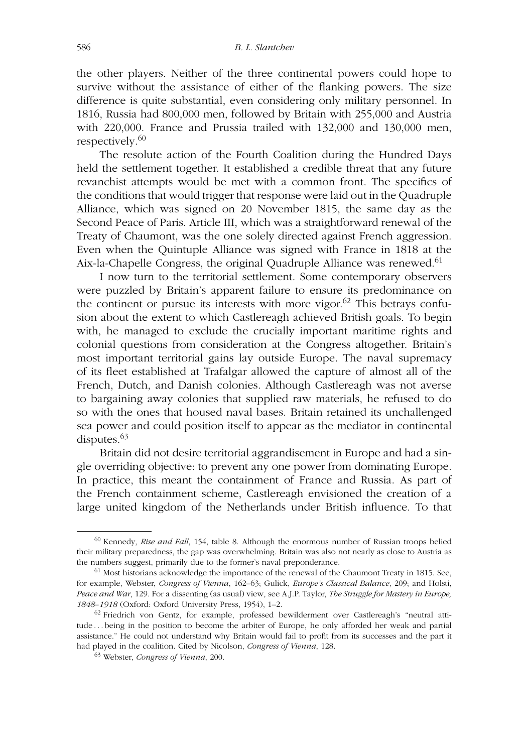the other players. Neither of the three continental powers could hope to survive without the assistance of either of the flanking powers. The size difference is quite substantial, even considering only military personnel. In 1816, Russia had 800,000 men, followed by Britain with 255,000 and Austria with 220,000. France and Prussia trailed with 132,000 and 130,000 men, respectively.<sup>60</sup>

The resolute action of the Fourth Coalition during the Hundred Days held the settlement together. It established a credible threat that any future revanchist attempts would be met with a common front. The specifics of the conditions that would trigger that response were laid out in the Quadruple Alliance, which was signed on 20 November 1815, the same day as the Second Peace of Paris. Article III, which was a straightforward renewal of the Treaty of Chaumont, was the one solely directed against French aggression. Even when the Quintuple Alliance was signed with France in 1818 at the Aix-la-Chapelle Congress, the original Quadruple Alliance was renewed.<sup>61</sup>

I now turn to the territorial settlement. Some contemporary observers were puzzled by Britain's apparent failure to ensure its predominance on the continent or pursue its interests with more vigor.<sup>62</sup> This betrays confusion about the extent to which Castlereagh achieved British goals. To begin with, he managed to exclude the crucially important maritime rights and colonial questions from consideration at the Congress altogether. Britain's most important territorial gains lay outside Europe. The naval supremacy of its fleet established at Trafalgar allowed the capture of almost all of the French, Dutch, and Danish colonies. Although Castlereagh was not averse to bargaining away colonies that supplied raw materials, he refused to do so with the ones that housed naval bases. Britain retained its unchallenged sea power and could position itself to appear as the mediator in continental disputes.<sup>63</sup>

Britain did not desire territorial aggrandisement in Europe and had a single overriding objective: to prevent any one power from dominating Europe. In practice, this meant the containment of France and Russia. As part of the French containment scheme, Castlereagh envisioned the creation of a large united kingdom of the Netherlands under British influence. To that

<sup>60</sup> Kennedy, *Rise and Fall*, 154, table 8. Although the enormous number of Russian troops belied their military preparedness, the gap was overwhelming. Britain was also not nearly as close to Austria as the numbers suggest, primarily due to the former's naval preponderance.

 $61$  Most historians acknowledge the importance of the renewal of the Chaumont Treaty in 1815. See, for example, Webster, *Congress of Vienna*, 162–63; Gulick, *Europe's Classical Balance*, 209; and Holsti, *Peace and War*, 129. For a dissenting (as usual) view, see A.J.P. Taylor, *The Struggle for Mastery in Europe, 1848–1918* (Oxford: Oxford University Press, 1954), 1–2.

 $62$  Friedrich von Gentz, for example, professed bewilderment over Castlereagh's "neutral attitude . . . being in the position to become the arbiter of Europe, he only afforded her weak and partial assistance." He could not understand why Britain would fail to profit from its successes and the part it had played in the coalition. Cited by Nicolson, *Congress of Vienna*, 128.

<sup>63</sup> Webster, *Congress of Vienna*, 200.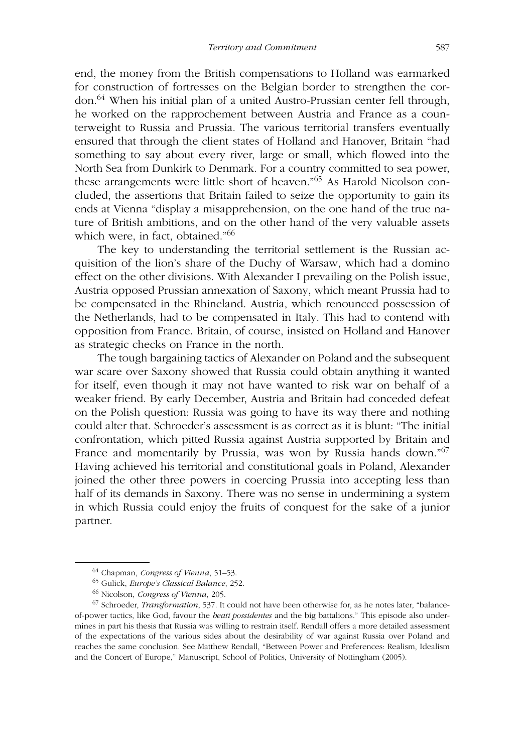end, the money from the British compensations to Holland was earmarked for construction of fortresses on the Belgian border to strengthen the cordon.<sup>64</sup> When his initial plan of a united Austro-Prussian center fell through, he worked on the rapprochement between Austria and France as a counterweight to Russia and Prussia. The various territorial transfers eventually ensured that through the client states of Holland and Hanover, Britain "had something to say about every river, large or small, which flowed into the North Sea from Dunkirk to Denmark. For a country committed to sea power, these arrangements were little short of heaven."65 As Harold Nicolson concluded, the assertions that Britain failed to seize the opportunity to gain its ends at Vienna "display a misapprehension, on the one hand of the true nature of British ambitions, and on the other hand of the very valuable assets which were, in fact, obtained."<sup>66</sup>

The key to understanding the territorial settlement is the Russian acquisition of the lion's share of the Duchy of Warsaw, which had a domino effect on the other divisions. With Alexander I prevailing on the Polish issue, Austria opposed Prussian annexation of Saxony, which meant Prussia had to be compensated in the Rhineland. Austria, which renounced possession of the Netherlands, had to be compensated in Italy. This had to contend with opposition from France. Britain, of course, insisted on Holland and Hanover as strategic checks on France in the north.

The tough bargaining tactics of Alexander on Poland and the subsequent war scare over Saxony showed that Russia could obtain anything it wanted for itself, even though it may not have wanted to risk war on behalf of a weaker friend. By early December, Austria and Britain had conceded defeat on the Polish question: Russia was going to have its way there and nothing could alter that. Schroeder's assessment is as correct as it is blunt: "The initial confrontation, which pitted Russia against Austria supported by Britain and France and momentarily by Prussia, was won by Russia hands down."<sup>67</sup> Having achieved his territorial and constitutional goals in Poland, Alexander joined the other three powers in coercing Prussia into accepting less than half of its demands in Saxony. There was no sense in undermining a system in which Russia could enjoy the fruits of conquest for the sake of a junior partner.

<sup>64</sup> Chapman, *Congress of Vienna*, 51–53.

<sup>65</sup> Gulick, *Europe's Classical Balance*, 252.

<sup>66</sup> Nicolson, *Congress of Vienna*, 205.

<sup>67</sup> Schroeder, *Transformation*, 537. It could not have been otherwise for, as he notes later, "balanceof-power tactics, like God, favour the *beati possidentes* and the big battalions." This episode also undermines in part his thesis that Russia was willing to restrain itself. Rendall offers a more detailed assessment of the expectations of the various sides about the desirability of war against Russia over Poland and reaches the same conclusion. See Matthew Rendall, "Between Power and Preferences: Realism, Idealism and the Concert of Europe," Manuscript, School of Politics, University of Nottingham (2005).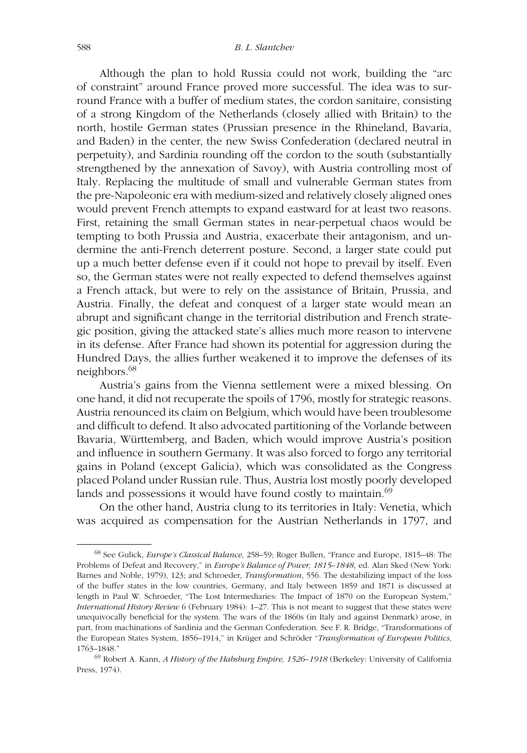Although the plan to hold Russia could not work, building the "arc of constraint" around France proved more successful. The idea was to surround France with a buffer of medium states, the cordon sanitaire, consisting of a strong Kingdom of the Netherlands (closely allied with Britain) to the north, hostile German states (Prussian presence in the Rhineland, Bavaria, and Baden) in the center, the new Swiss Confederation (declared neutral in perpetuity), and Sardinia rounding off the cordon to the south (substantially strengthened by the annexation of Savoy), with Austria controlling most of Italy. Replacing the multitude of small and vulnerable German states from the pre-Napoleonic era with medium-sized and relatively closely aligned ones would prevent French attempts to expand eastward for at least two reasons. First, retaining the small German states in near-perpetual chaos would be tempting to both Prussia and Austria, exacerbate their antagonism, and undermine the anti-French deterrent posture. Second, a larger state could put up a much better defense even if it could not hope to prevail by itself. Even so, the German states were not really expected to defend themselves against a French attack, but were to rely on the assistance of Britain, Prussia, and Austria. Finally, the defeat and conquest of a larger state would mean an abrupt and significant change in the territorial distribution and French strategic position, giving the attacked state's allies much more reason to intervene in its defense. After France had shown its potential for aggression during the Hundred Days, the allies further weakened it to improve the defenses of its neighbors.68

Austria's gains from the Vienna settlement were a mixed blessing. On one hand, it did not recuperate the spoils of 1796, mostly for strategic reasons. Austria renounced its claim on Belgium, which would have been troublesome and difficult to defend. It also advocated partitioning of the Vorlande between Bavaria, Württemberg, and Baden, which would improve Austria's position and influence in southern Germany. It was also forced to forgo any territorial gains in Poland (except Galicia), which was consolidated as the Congress placed Poland under Russian rule. Thus, Austria lost mostly poorly developed lands and possessions it would have found costly to maintain.<sup>69</sup>

On the other hand, Austria clung to its territories in Italy: Venetia, which was acquired as compensation for the Austrian Netherlands in 1797, and

<sup>68</sup> See Gulick, *Europe's Classical Balance*, 258–59; Roger Bullen, "France and Europe, 1815–48: The Problems of Defeat and Recovery," in *Europe's Balance of Power, 1815–1848*, ed. Alan Sked (New York: Barnes and Noble, 1979), 123; and Schroeder, *Transformation*, 556. The destabilizing impact of the loss of the buffer states in the low countries, Germany, and Italy between 1859 and 1871 is discussed at length in Paul W. Schroeder, "The Lost Intermediaries: The Impact of 1870 on the European System," *International History Review* 6 (February 1984): 1–27. This is not meant to suggest that these states were unequivocally beneficial for the system. The wars of the 1860s (in Italy and against Denmark) arose, in part, from machinations of Sardinia and the German Confederation. See F. R. Bridge, "Transformations of the European States System, 1856–1914," in Krüger and Schröder "*Transformation of European Politics*, 1763–1848."

<sup>69</sup> Robert A. Kann, *A History of the Habsburg Empire, 1526–1918* (Berkeley: University of California Press, 1974).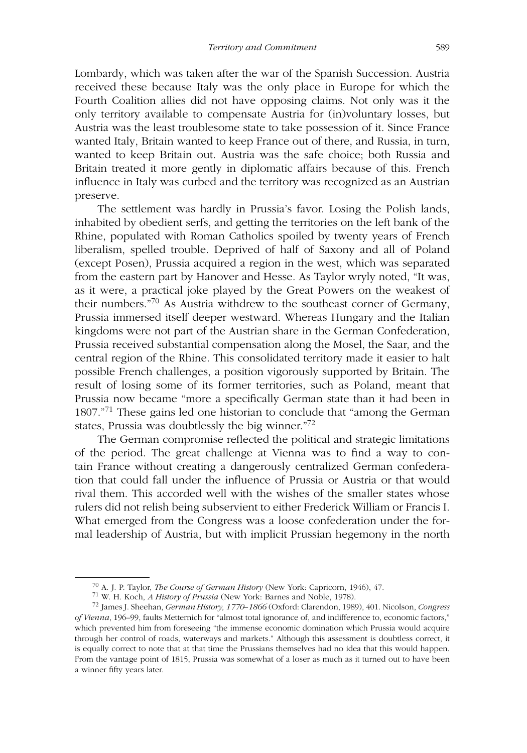Lombardy, which was taken after the war of the Spanish Succession. Austria received these because Italy was the only place in Europe for which the Fourth Coalition allies did not have opposing claims. Not only was it the only territory available to compensate Austria for (in)voluntary losses, but Austria was the least troublesome state to take possession of it. Since France wanted Italy, Britain wanted to keep France out of there, and Russia, in turn, wanted to keep Britain out. Austria was the safe choice; both Russia and Britain treated it more gently in diplomatic affairs because of this. French influence in Italy was curbed and the territory was recognized as an Austrian preserve.

The settlement was hardly in Prussia's favor. Losing the Polish lands, inhabited by obedient serfs, and getting the territories on the left bank of the Rhine, populated with Roman Catholics spoiled by twenty years of French liberalism, spelled trouble. Deprived of half of Saxony and all of Poland (except Posen), Prussia acquired a region in the west, which was separated from the eastern part by Hanover and Hesse. As Taylor wryly noted, "It was, as it were, a practical joke played by the Great Powers on the weakest of their numbers."<sup>70</sup> As Austria withdrew to the southeast corner of Germany, Prussia immersed itself deeper westward. Whereas Hungary and the Italian kingdoms were not part of the Austrian share in the German Confederation, Prussia received substantial compensation along the Mosel, the Saar, and the central region of the Rhine. This consolidated territory made it easier to halt possible French challenges, a position vigorously supported by Britain. The result of losing some of its former territories, such as Poland, meant that Prussia now became "more a specifically German state than it had been in 1807."<sup>71</sup> These gains led one historian to conclude that "among the German" states, Prussia was doubtlessly the big winner."<sup>72</sup>

The German compromise reflected the political and strategic limitations of the period. The great challenge at Vienna was to find a way to contain France without creating a dangerously centralized German confederation that could fall under the influence of Prussia or Austria or that would rival them. This accorded well with the wishes of the smaller states whose rulers did not relish being subservient to either Frederick William or Francis I. What emerged from the Congress was a loose confederation under the formal leadership of Austria, but with implicit Prussian hegemony in the north

<sup>70</sup> A. J. P. Taylor, *The Course of German History* (New York: Capricorn, 1946), 47.

<sup>71</sup> W. H. Koch, *A History of Prussia* (New York: Barnes and Noble, 1978).

<sup>72</sup> James J. Sheehan, *German History, 1770–1866* (Oxford: Clarendon, 1989), 401. Nicolson, *Congress of Vienna*, 196–99, faults Metternich for "almost total ignorance of, and indifference to, economic factors," which prevented him from foreseeing "the immense economic domination which Prussia would acquire through her control of roads, waterways and markets." Although this assessment is doubtless correct, it is equally correct to note that at that time the Prussians themselves had no idea that this would happen. From the vantage point of 1815, Prussia was somewhat of a loser as much as it turned out to have been a winner fifty years later.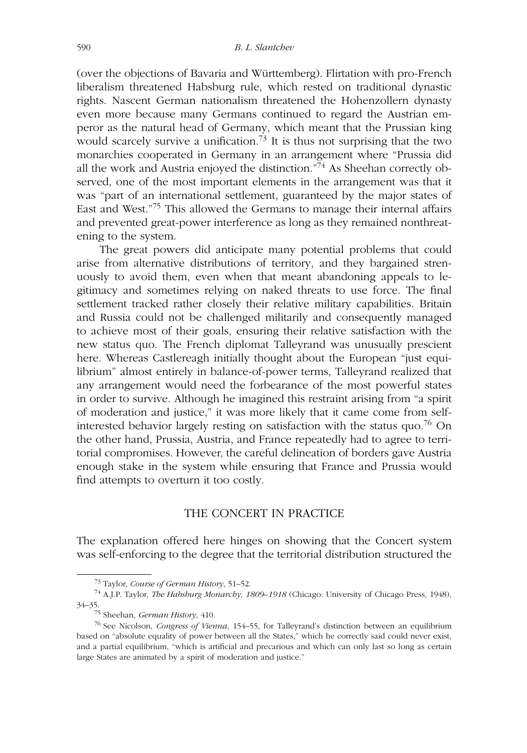(over the objections of Bavaria and Wurttemberg). Flirtation with pro-French ¨ liberalism threatened Habsburg rule, which rested on traditional dynastic rights. Nascent German nationalism threatened the Hohenzollern dynasty even more because many Germans continued to regard the Austrian emperor as the natural head of Germany, which meant that the Prussian king would scarcely survive a unification.<sup>73</sup> It is thus not surprising that the two monarchies cooperated in Germany in an arrangement where "Prussia did all the work and Austria enjoyed the distinction."<sup>74</sup> As Sheehan correctly observed, one of the most important elements in the arrangement was that it was "part of an international settlement, guaranteed by the major states of East and West."<sup>75</sup> This allowed the Germans to manage their internal affairs and prevented great-power interference as long as they remained nonthreatening to the system.

The great powers did anticipate many potential problems that could arise from alternative distributions of territory, and they bargained strenuously to avoid them, even when that meant abandoning appeals to legitimacy and sometimes relying on naked threats to use force. The final settlement tracked rather closely their relative military capabilities. Britain and Russia could not be challenged militarily and consequently managed to achieve most of their goals, ensuring their relative satisfaction with the new status quo. The French diplomat Talleyrand was unusually prescient here. Whereas Castlereagh initially thought about the European "just equilibrium" almost entirely in balance-of-power terms, Talleyrand realized that any arrangement would need the forbearance of the most powerful states in order to survive. Although he imagined this restraint arising from "a spirit of moderation and justice," it was more likely that it came come from selfinterested behavior largely resting on satisfaction with the status quo.<sup>76</sup> On the other hand, Prussia, Austria, and France repeatedly had to agree to territorial compromises. However, the careful delineation of borders gave Austria enough stake in the system while ensuring that France and Prussia would find attempts to overturn it too costly.

#### THE CONCERT IN PRACTICE

The explanation offered here hinges on showing that the Concert system was self-enforcing to the degree that the territorial distribution structured the

<sup>73</sup> Taylor, *Course of German History*, 51–52.

<sup>74</sup> A.J.P. Taylor, *The Habsburg Monarchy, 1809–1918* (Chicago: University of Chicago Press, 1948), 34–35.

<sup>75</sup> Sheehan, *German History*, 410.

<sup>76</sup> See Nicolson, *Congress of Vienna*, 154–55, for Talleyrand's distinction between an equilibrium based on "absolute equality of power between all the States," which he correctly said could never exist, and a partial equilibrium, "which is artificial and precarious and which can only last so long as certain large States are animated by a spirit of moderation and justice."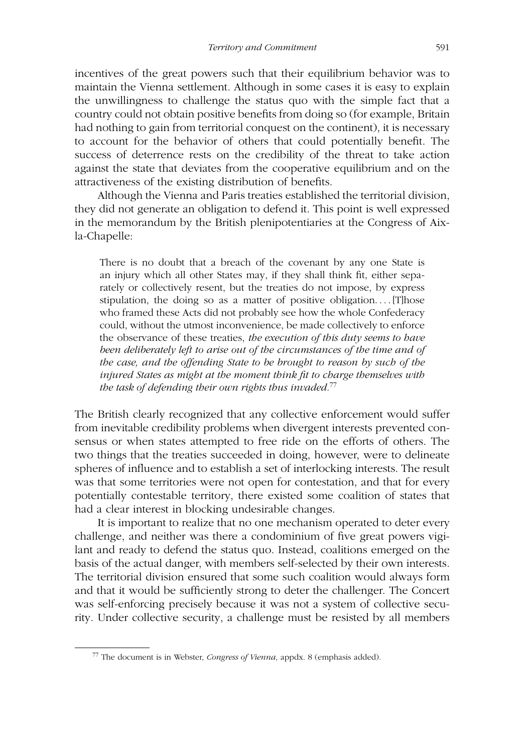incentives of the great powers such that their equilibrium behavior was to maintain the Vienna settlement. Although in some cases it is easy to explain the unwillingness to challenge the status quo with the simple fact that a country could not obtain positive benefits from doing so (for example, Britain had nothing to gain from territorial conquest on the continent), it is necessary to account for the behavior of others that could potentially benefit. The success of deterrence rests on the credibility of the threat to take action against the state that deviates from the cooperative equilibrium and on the attractiveness of the existing distribution of benefits.

Although the Vienna and Paris treaties established the territorial division, they did not generate an obligation to defend it. This point is well expressed in the memorandum by the British plenipotentiaries at the Congress of Aixla-Chapelle:

There is no doubt that a breach of the covenant by any one State is an injury which all other States may, if they shall think fit, either separately or collectively resent, but the treaties do not impose, by express stipulation, the doing so as a matter of positive obligation.... [T] hose who framed these Acts did not probably see how the whole Confederacy could, without the utmost inconvenience, be made collectively to enforce the observance of these treaties, *the execution of this duty seems to have been deliberately left to arise out of the circumstances of the time and of the case, and the offending State to be brought to reason by such of the injured States as might at the moment think fit to charge themselves with the task of defending their own rights thus invaded*. 77

The British clearly recognized that any collective enforcement would suffer from inevitable credibility problems when divergent interests prevented consensus or when states attempted to free ride on the efforts of others. The two things that the treaties succeeded in doing, however, were to delineate spheres of influence and to establish a set of interlocking interests. The result was that some territories were not open for contestation, and that for every potentially contestable territory, there existed some coalition of states that had a clear interest in blocking undesirable changes.

It is important to realize that no one mechanism operated to deter every challenge, and neither was there a condominium of five great powers vigilant and ready to defend the status quo. Instead, coalitions emerged on the basis of the actual danger, with members self-selected by their own interests. The territorial division ensured that some such coalition would always form and that it would be sufficiently strong to deter the challenger. The Concert was self-enforcing precisely because it was not a system of collective security. Under collective security, a challenge must be resisted by all members

<sup>77</sup> The document is in Webster, *Congress of Vienna*, appdx. 8 (emphasis added).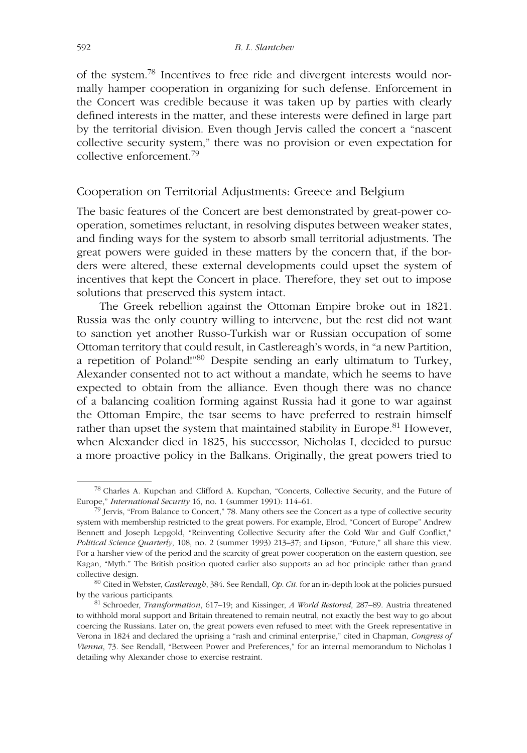of the system.78 Incentives to free ride and divergent interests would normally hamper cooperation in organizing for such defense. Enforcement in the Concert was credible because it was taken up by parties with clearly defined interests in the matter, and these interests were defined in large part by the territorial division. Even though Jervis called the concert a "nascent collective security system," there was no provision or even expectation for collective enforcement.79

#### Cooperation on Territorial Adjustments: Greece and Belgium

The basic features of the Concert are best demonstrated by great-power cooperation, sometimes reluctant, in resolving disputes between weaker states, and finding ways for the system to absorb small territorial adjustments. The great powers were guided in these matters by the concern that, if the borders were altered, these external developments could upset the system of incentives that kept the Concert in place. Therefore, they set out to impose solutions that preserved this system intact.

The Greek rebellion against the Ottoman Empire broke out in 1821. Russia was the only country willing to intervene, but the rest did not want to sanction yet another Russo-Turkish war or Russian occupation of some Ottoman territory that could result, in Castlereagh's words, in "a new Partition, a repetition of Poland!"<sup>80</sup> Despite sending an early ultimatum to Turkey, Alexander consented not to act without a mandate, which he seems to have expected to obtain from the alliance. Even though there was no chance of a balancing coalition forming against Russia had it gone to war against the Ottoman Empire, the tsar seems to have preferred to restrain himself rather than upset the system that maintained stability in Europe.<sup>81</sup> However, when Alexander died in 1825, his successor, Nicholas I, decided to pursue a more proactive policy in the Balkans. Originally, the great powers tried to

<sup>78</sup> Charles A. Kupchan and Clifford A. Kupchan, "Concerts, Collective Security, and the Future of Europe," *International Security* 16, no. 1 (summer 1991): 114–61.

<sup>&</sup>lt;sup>9</sup> Jervis, "From Balance to Concert," 78. Many others see the Concert as a type of collective security system with membership restricted to the great powers. For example, Elrod, "Concert of Europe" Andrew Bennett and Joseph Lepgold, "Reinventing Collective Security after the Cold War and Gulf Conflict," *Political Science Quarterly*, 108, no. 2 (summer 1993) 213–37; and Lipson, "Future," all share this view. For a harsher view of the period and the scarcity of great power cooperation on the eastern question, see Kagan, "Myth." The British position quoted earlier also supports an ad hoc principle rather than grand collective design.

<sup>80</sup> Cited in Webster, *Castlereagh*, 384. See Rendall, *Op. Cit.* for an in-depth look at the policies pursued by the various participants.

<sup>81</sup> Schroeder, *Transformation*, 617–19; and Kissinger, *A World Restored*, 287–89. Austria threatened to withhold moral support and Britain threatened to remain neutral, not exactly the best way to go about coercing the Russians. Later on, the great powers even refused to meet with the Greek representative in Verona in 1824 and declared the uprising a "rash and criminal enterprise," cited in Chapman, *Congress of Vienna*, 73. See Rendall, "Between Power and Preferences," for an internal memorandum to Nicholas I detailing why Alexander chose to exercise restraint.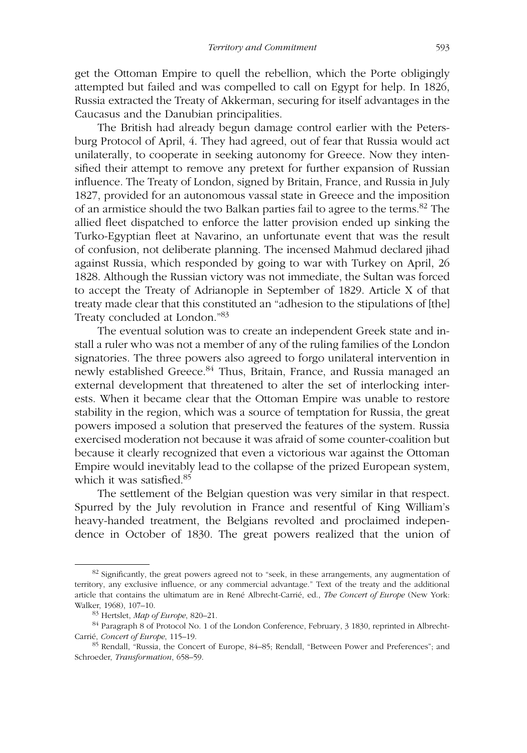get the Ottoman Empire to quell the rebellion, which the Porte obligingly attempted but failed and was compelled to call on Egypt for help. In 1826, Russia extracted the Treaty of Akkerman, securing for itself advantages in the Caucasus and the Danubian principalities.

The British had already begun damage control earlier with the Petersburg Protocol of April, 4. They had agreed, out of fear that Russia would act unilaterally, to cooperate in seeking autonomy for Greece. Now they intensified their attempt to remove any pretext for further expansion of Russian influence. The Treaty of London, signed by Britain, France, and Russia in July 1827, provided for an autonomous vassal state in Greece and the imposition of an armistice should the two Balkan parties fail to agree to the terms.82 The allied fleet dispatched to enforce the latter provision ended up sinking the Turko-Egyptian fleet at Navarino, an unfortunate event that was the result of confusion, not deliberate planning. The incensed Mahmud declared jihad against Russia, which responded by going to war with Turkey on April, 26 1828. Although the Russian victory was not immediate, the Sultan was forced to accept the Treaty of Adrianople in September of 1829. Article X of that treaty made clear that this constituted an "adhesion to the stipulations of [the] Treaty concluded at London."<sup>83</sup>

The eventual solution was to create an independent Greek state and install a ruler who was not a member of any of the ruling families of the London signatories. The three powers also agreed to forgo unilateral intervention in newly established Greece.<sup>84</sup> Thus, Britain, France, and Russia managed an external development that threatened to alter the set of interlocking interests. When it became clear that the Ottoman Empire was unable to restore stability in the region, which was a source of temptation for Russia, the great powers imposed a solution that preserved the features of the system. Russia exercised moderation not because it was afraid of some counter-coalition but because it clearly recognized that even a victorious war against the Ottoman Empire would inevitably lead to the collapse of the prized European system, which it was satisfied.<sup>85</sup>

The settlement of the Belgian question was very similar in that respect. Spurred by the July revolution in France and resentful of King William's heavy-handed treatment, the Belgians revolted and proclaimed independence in October of 1830. The great powers realized that the union of

<sup>&</sup>lt;sup>82</sup> Significantly, the great powers agreed not to "seek, in these arrangements, any augmentation of territory, any exclusive influence, or any commercial advantage." Text of the treaty and the additional article that contains the ultimatum are in René Albrecht-Carrié, ed., *The Concert of Europe* (New York: Walker, 1968), 107–10.

<sup>83</sup> Hertslet, *Map of Europe*, 820–21.

<sup>84</sup> Paragraph 8 of Protocol No. 1 of the London Conference, February, 3 1830, reprinted in Albrecht-Carrié, *Concert of Europe*, 115–19.

<sup>85</sup> Rendall, "Russia, the Concert of Europe, 84–85; Rendall, "Between Power and Preferences"; and Schroeder, *Transformation*, 658–59.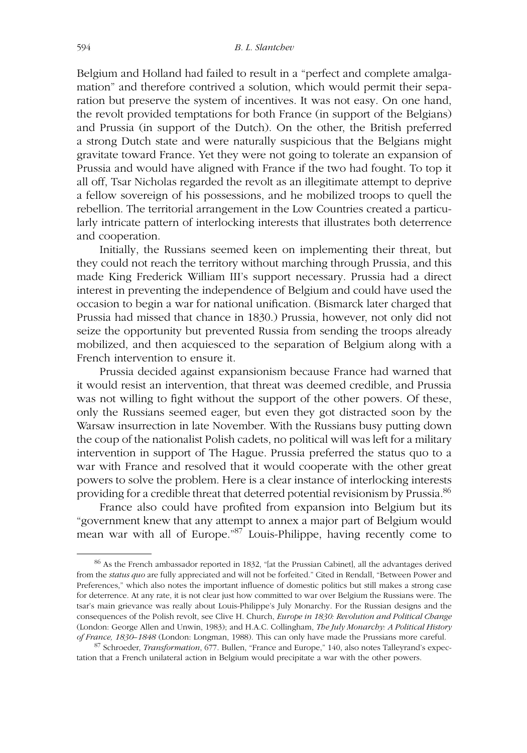Belgium and Holland had failed to result in a "perfect and complete amalgamation" and therefore contrived a solution, which would permit their separation but preserve the system of incentives. It was not easy. On one hand, the revolt provided temptations for both France (in support of the Belgians) and Prussia (in support of the Dutch). On the other, the British preferred a strong Dutch state and were naturally suspicious that the Belgians might gravitate toward France. Yet they were not going to tolerate an expansion of Prussia and would have aligned with France if the two had fought. To top it all off, Tsar Nicholas regarded the revolt as an illegitimate attempt to deprive a fellow sovereign of his possessions, and he mobilized troops to quell the rebellion. The territorial arrangement in the Low Countries created a particularly intricate pattern of interlocking interests that illustrates both deterrence and cooperation.

Initially, the Russians seemed keen on implementing their threat, but they could not reach the territory without marching through Prussia, and this made King Frederick William III's support necessary. Prussia had a direct interest in preventing the independence of Belgium and could have used the occasion to begin a war for national unification. (Bismarck later charged that Prussia had missed that chance in 1830.) Prussia, however, not only did not seize the opportunity but prevented Russia from sending the troops already mobilized, and then acquiesced to the separation of Belgium along with a French intervention to ensure it.

Prussia decided against expansionism because France had warned that it would resist an intervention, that threat was deemed credible, and Prussia was not willing to fight without the support of the other powers. Of these, only the Russians seemed eager, but even they got distracted soon by the Warsaw insurrection in late November. With the Russians busy putting down the coup of the nationalist Polish cadets, no political will was left for a military intervention in support of The Hague. Prussia preferred the status quo to a war with France and resolved that it would cooperate with the other great powers to solve the problem. Here is a clear instance of interlocking interests providing for a credible threat that deterred potential revisionism by Prussia.<sup>86</sup>

France also could have profited from expansion into Belgium but its "government knew that any attempt to annex a major part of Belgium would mean war with all of Europe."87 Louis-Philippe, having recently come to

<sup>86</sup> As the French ambassador reported in 1832, "[at the Prussian Cabinet], all the advantages derived from the *status quo* are fully appreciated and will not be forfeited." Cited in Rendall, "Between Power and Preferences," which also notes the important influence of domestic politics but still makes a strong case for deterrence. At any rate, it is not clear just how committed to war over Belgium the Russians were. The tsar's main grievance was really about Louis-Philippe's July Monarchy. For the Russian designs and the consequences of the Polish revolt, see Clive H. Church, *Europe in 1830: Revolution and Political Change* (London: George Allen and Unwin, 1983); and H.A.C. Collingham, *The July Monarchy: A Political History of France, 1830–1848* (London: Longman, 1988). This can only have made the Prussians more careful.

<sup>87</sup> Schroeder, *Transformation*, 677. Bullen, "France and Europe," 140, also notes Talleyrand's expectation that a French unilateral action in Belgium would precipitate a war with the other powers.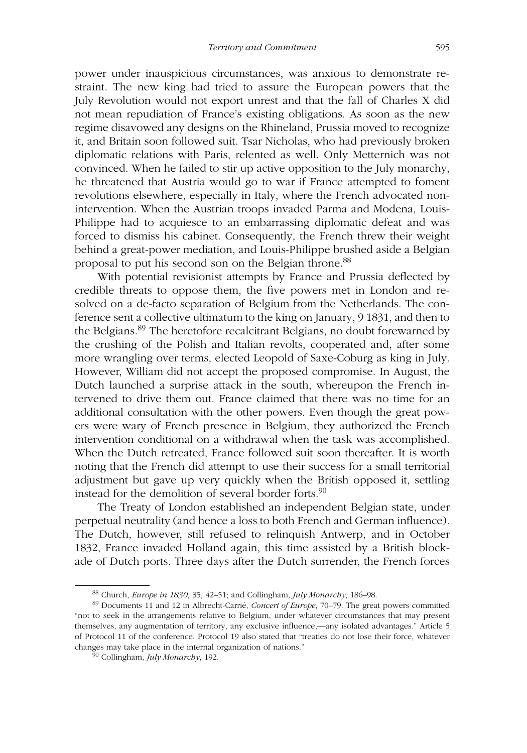power under inauspicious circumstances, was anxious to demonstrate restraint. The new king had tried to assure the European powers that the July Revolution would not export unrest and that the fall of Charles X did not mean repudiation of France's existing obligations. As soon as the new regime disavowed any designs on the Rhineland, Prussia moved to recognize it, and Britain soon followed suit. Tsar Nicholas, who had previously broken diplomatic relations with Paris, relented as well. Only Metternich was not convinced. When he failed to stir up active opposition to the July monarchy, he threatened that Austria would go to war if France attempted to foment revolutions elsewhere, especially in Italy, where the French advocated nonintervention. When the Austrian troops invaded Parma and Modena, Louis-Philippe had to acquiesce to an embarrassing diplomatic defeat and was forced to dismiss his cabinet. Consequently, the French threw their weight behind a great-power mediation, and Louis-Philippe brushed aside a Belgian proposal to put his second son on the Belgian throne.<sup>88</sup>

With potential revisionist attempts by France and Prussia deflected by credible threats to oppose them, the five powers met in London and resolved on a de-facto separation of Belgium from the Netherlands. The conference sent a collective ultimatum to the king on January, 9 1831, and then to the Belgians.<sup>89</sup> The heretofore recalcitrant Belgians, no doubt forewarned by the crushing of the Polish and Italian revolts, cooperated and, after some more wrangling over terms, elected Leopold of Saxe-Coburg as king in July. However, William did not accept the proposed compromise. In August, the Dutch launched a surprise attack in the south, whereupon the French intervened to drive them out. France claimed that there was no time for an additional consultation with the other powers. Even though the great powers were wary of French presence in Belgium, they authorized the French intervention conditional on a withdrawal when the task was accomplished. When the Dutch retreated, France followed suit soon thereafter. It is worth noting that the French did attempt to use their success for a small territorial adjustment but gave up very quickly when the British opposed it, settling instead for the demolition of several border forts.<sup>90</sup>

The Treaty of London established an independent Belgian state, under perpetual neutrality (and hence a loss to both French and German influence). The Dutch, however, still refused to relinquish Antwerp, and in October 1832, France invaded Holland again, this time assisted by a British blockade of Dutch ports. Three days after the Dutch surrender, the French forces

<sup>88</sup> Church, *Europe in 1830*, 35, 42–51; and Collingham, *July Monarchy*, 186–98.

<sup>89</sup> Documents 11 and 12 in Albrecht-Carrié, *Concert of Europe*, 70–79. The great powers committed "not to seek in the arrangements relative to Belgium, under whatever circumstances that may present themselves, any augmentation of territory, any exclusive influence,—any isolated advantages." Article 5 of Protocol 11 of the conference. Protocol 19 also stated that "treaties do not lose their force, whatever changes may take place in the internal organization of nations."

<sup>90</sup> Collingham, *July Monarchy*, 192.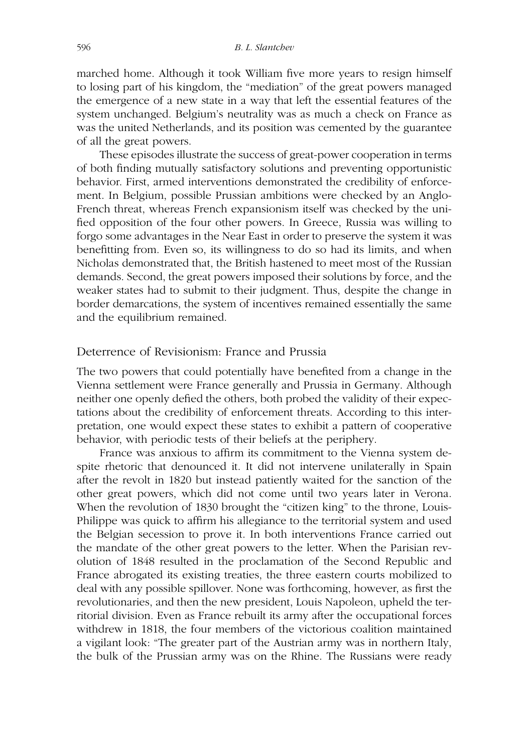marched home. Although it took William five more years to resign himself to losing part of his kingdom, the "mediation" of the great powers managed the emergence of a new state in a way that left the essential features of the system unchanged. Belgium's neutrality was as much a check on France as was the united Netherlands, and its position was cemented by the guarantee of all the great powers.

These episodes illustrate the success of great-power cooperation in terms of both finding mutually satisfactory solutions and preventing opportunistic behavior. First, armed interventions demonstrated the credibility of enforcement. In Belgium, possible Prussian ambitions were checked by an Anglo-French threat, whereas French expansionism itself was checked by the unified opposition of the four other powers. In Greece, Russia was willing to forgo some advantages in the Near East in order to preserve the system it was benefitting from. Even so, its willingness to do so had its limits, and when Nicholas demonstrated that, the British hastened to meet most of the Russian demands. Second, the great powers imposed their solutions by force, and the weaker states had to submit to their judgment. Thus, despite the change in border demarcations, the system of incentives remained essentially the same and the equilibrium remained.

## Deterrence of Revisionism: France and Prussia

The two powers that could potentially have benefited from a change in the Vienna settlement were France generally and Prussia in Germany. Although neither one openly defied the others, both probed the validity of their expectations about the credibility of enforcement threats. According to this interpretation, one would expect these states to exhibit a pattern of cooperative behavior, with periodic tests of their beliefs at the periphery.

France was anxious to affirm its commitment to the Vienna system despite rhetoric that denounced it. It did not intervene unilaterally in Spain after the revolt in 1820 but instead patiently waited for the sanction of the other great powers, which did not come until two years later in Verona. When the revolution of 1830 brought the "citizen king" to the throne, Louis-Philippe was quick to affirm his allegiance to the territorial system and used the Belgian secession to prove it. In both interventions France carried out the mandate of the other great powers to the letter. When the Parisian revolution of 1848 resulted in the proclamation of the Second Republic and France abrogated its existing treaties, the three eastern courts mobilized to deal with any possible spillover. None was forthcoming, however, as first the revolutionaries, and then the new president, Louis Napoleon, upheld the territorial division. Even as France rebuilt its army after the occupational forces withdrew in 1818, the four members of the victorious coalition maintained a vigilant look: "The greater part of the Austrian army was in northern Italy, the bulk of the Prussian army was on the Rhine. The Russians were ready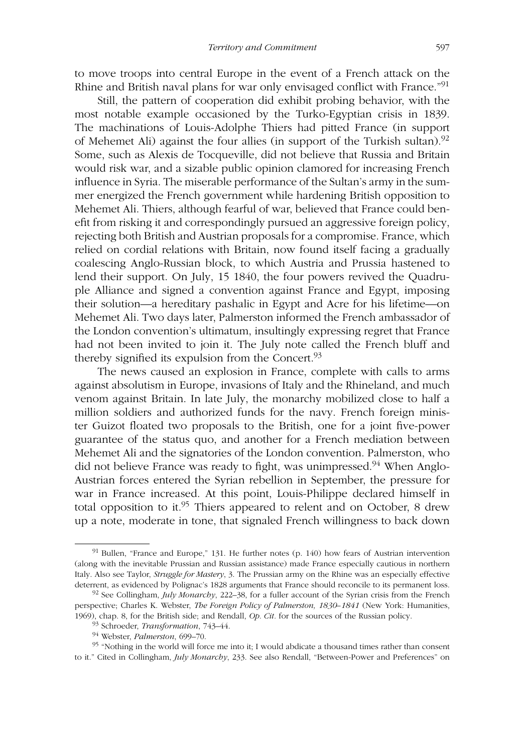to move troops into central Europe in the event of a French attack on the Rhine and British naval plans for war only envisaged conflict with France."<sup>91</sup>

Still, the pattern of cooperation did exhibit probing behavior, with the most notable example occasioned by the Turko-Egyptian crisis in 1839. The machinations of Louis-Adolphe Thiers had pitted France (in support of Mehemet Ali) against the four allies (in support of the Turkish sultan).<sup>92</sup> Some, such as Alexis de Tocqueville, did not believe that Russia and Britain would risk war, and a sizable public opinion clamored for increasing French influence in Syria. The miserable performance of the Sultan's army in the summer energized the French government while hardening British opposition to Mehemet Ali. Thiers, although fearful of war, believed that France could benefit from risking it and correspondingly pursued an aggressive foreign policy, rejecting both British and Austrian proposals for a compromise. France, which relied on cordial relations with Britain, now found itself facing a gradually coalescing Anglo-Russian block, to which Austria and Prussia hastened to lend their support. On July, 15 1840, the four powers revived the Quadruple Alliance and signed a convention against France and Egypt, imposing their solution—a hereditary pashalic in Egypt and Acre for his lifetime—on Mehemet Ali. Two days later, Palmerston informed the French ambassador of the London convention's ultimatum, insultingly expressing regret that France had not been invited to join it. The July note called the French bluff and thereby signified its expulsion from the Concert. $93$ 

The news caused an explosion in France, complete with calls to arms against absolutism in Europe, invasions of Italy and the Rhineland, and much venom against Britain. In late July, the monarchy mobilized close to half a million soldiers and authorized funds for the navy. French foreign minister Guizot floated two proposals to the British, one for a joint five-power guarantee of the status quo, and another for a French mediation between Mehemet Ali and the signatories of the London convention. Palmerston, who did not believe France was ready to fight, was unimpressed.<sup>94</sup> When Anglo-Austrian forces entered the Syrian rebellion in September, the pressure for war in France increased. At this point, Louis-Philippe declared himself in total opposition to it.<sup>95</sup> Thiers appeared to relent and on October, 8 drew up a note, moderate in tone, that signaled French willingness to back down

<sup>&</sup>lt;sup>91</sup> Bullen, "France and Europe," 131. He further notes (p. 140) how fears of Austrian intervention (along with the inevitable Prussian and Russian assistance) made France especially cautious in northern Italy. Also see Taylor, *Struggle for Mastery*, 3. The Prussian army on the Rhine was an especially effective deterrent, as evidenced by Polignac's 1828 arguments that France should reconcile to its permanent loss.

<sup>92</sup> See Collingham, *July Monarchy*, 222–38, for a fuller account of the Syrian crisis from the French perspective; Charles K. Webster, *The Foreign Policy of Palmerston, 1830–1841* (New York: Humanities, 1969), chap. 8, for the British side; and Rendall, *Op. Cit.* for the sources of the Russian policy.

<sup>93</sup> Schroeder, *Transformation*, 743–44.

<sup>94</sup> Webster, *Palmerston*, 699–70.

<sup>&</sup>lt;sup>95</sup> "Nothing in the world will force me into it; I would abdicate a thousand times rather than consent to it." Cited in Collingham, *July Monarchy*, 233. See also Rendall, "Between-Power and Preferences" on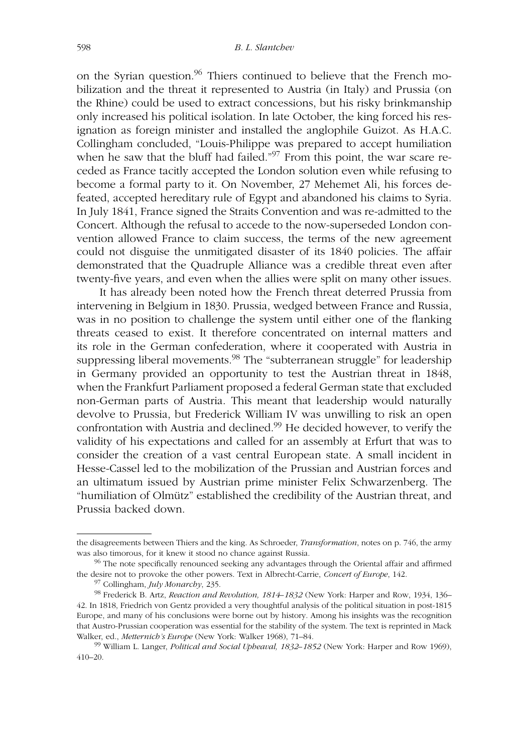on the Syrian question.<sup>96</sup> Thiers continued to believe that the French mobilization and the threat it represented to Austria (in Italy) and Prussia (on the Rhine) could be used to extract concessions, but his risky brinkmanship only increased his political isolation. In late October, the king forced his resignation as foreign minister and installed the anglophile Guizot. As H.A.C. Collingham concluded, "Louis-Philippe was prepared to accept humiliation when he saw that the bluff had failed."<sup>97</sup> From this point, the war scare receded as France tacitly accepted the London solution even while refusing to become a formal party to it. On November, 27 Mehemet Ali, his forces defeated, accepted hereditary rule of Egypt and abandoned his claims to Syria. In July 1841, France signed the Straits Convention and was re-admitted to the Concert. Although the refusal to accede to the now-superseded London convention allowed France to claim success, the terms of the new agreement could not disguise the unmitigated disaster of its 1840 policies. The affair demonstrated that the Quadruple Alliance was a credible threat even after twenty-five years, and even when the allies were split on many other issues.

It has already been noted how the French threat deterred Prussia from intervening in Belgium in 1830. Prussia, wedged between France and Russia, was in no position to challenge the system until either one of the flanking threats ceased to exist. It therefore concentrated on internal matters and its role in the German confederation, where it cooperated with Austria in suppressing liberal movements.<sup>98</sup> The "subterranean struggle" for leadership in Germany provided an opportunity to test the Austrian threat in 1848, when the Frankfurt Parliament proposed a federal German state that excluded non-German parts of Austria. This meant that leadership would naturally devolve to Prussia, but Frederick William IV was unwilling to risk an open confrontation with Austria and declined.<sup>99</sup> He decided however, to verify the validity of his expectations and called for an assembly at Erfurt that was to consider the creation of a vast central European state. A small incident in Hesse-Cassel led to the mobilization of the Prussian and Austrian forces and an ultimatum issued by Austrian prime minister Felix Schwarzenberg. The "humiliation of Olmutz" established the credibility of the Austrian threat, and ¨ Prussia backed down.

the disagreements between Thiers and the king. As Schroeder, *Transformation*, notes on p. 746, the army was also timorous, for it knew it stood no chance against Russia.

<sup>&</sup>lt;sup>96</sup> The note specifically renounced seeking any advantages through the Oriental affair and affirmed the desire not to provoke the other powers. Text in Albrecht-Carrie, *Concert of Europe*, 142.

<sup>97</sup> Collingham, *July Monarchy*, 235.

<sup>98</sup> Frederick B. Artz, *Reaction and Revolution, 1814–1832* (New York: Harper and Row, 1934, 136– 42. In 1818, Friedrich von Gentz provided a very thoughtful analysis of the political situation in post-1815 Europe, and many of his conclusions were borne out by history. Among his insights was the recognition that Austro-Prussian cooperation was essential for the stability of the system. The text is reprinted in Mack Walker, ed., *Metternich's Europe* (New York: Walker 1968), 71–84.

<sup>99</sup> William L. Langer, *Political and Social Upheaval, 1832–1852* (New York: Harper and Row 1969), 410–20.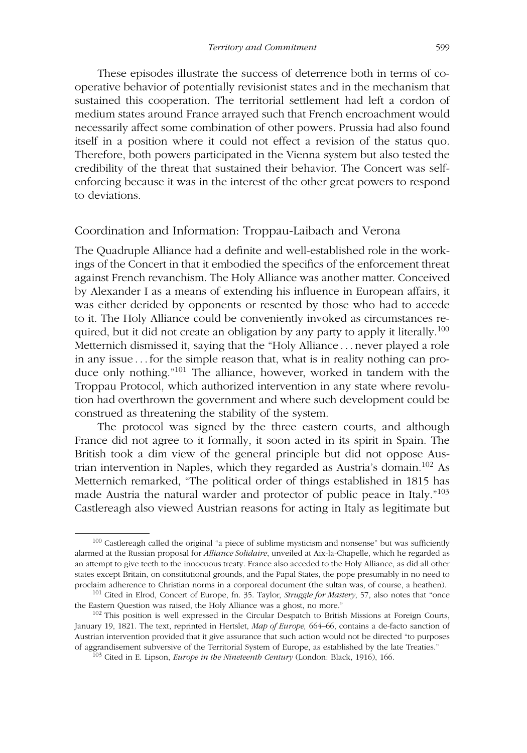These episodes illustrate the success of deterrence both in terms of cooperative behavior of potentially revisionist states and in the mechanism that sustained this cooperation. The territorial settlement had left a cordon of medium states around France arrayed such that French encroachment would necessarily affect some combination of other powers. Prussia had also found itself in a position where it could not effect a revision of the status quo. Therefore, both powers participated in the Vienna system but also tested the credibility of the threat that sustained their behavior. The Concert was selfenforcing because it was in the interest of the other great powers to respond to deviations.

#### Coordination and Information: Troppau-Laibach and Verona

The Quadruple Alliance had a definite and well-established role in the workings of the Concert in that it embodied the specifics of the enforcement threat against French revanchism. The Holy Alliance was another matter. Conceived by Alexander I as a means of extending his influence in European affairs, it was either derided by opponents or resented by those who had to accede to it. The Holy Alliance could be conveniently invoked as circumstances required, but it did not create an obligation by any party to apply it literally.<sup>100</sup> Metternich dismissed it, saying that the "Holy Alliance . . . never played a role in any issue . . . for the simple reason that, what is in reality nothing can produce only nothing."101 The alliance, however, worked in tandem with the Troppau Protocol, which authorized intervention in any state where revolution had overthrown the government and where such development could be construed as threatening the stability of the system.

The protocol was signed by the three eastern courts, and although France did not agree to it formally, it soon acted in its spirit in Spain. The British took a dim view of the general principle but did not oppose Austrian intervention in Naples, which they regarded as Austria's domain.<sup>102</sup> As Metternich remarked, "The political order of things established in 1815 has made Austria the natural warder and protector of public peace in Italy."<sup>103</sup> Castlereagh also viewed Austrian reasons for acting in Italy as legitimate but

<sup>&</sup>lt;sup>100</sup> Castlereagh called the original "a piece of sublime mysticism and nonsense" but was sufficiently alarmed at the Russian proposal for *Alliance Solidaire*, unveiled at Aix-la-Chapelle, which he regarded as an attempt to give teeth to the innocuous treaty. France also acceded to the Holy Alliance, as did all other states except Britain, on constitutional grounds, and the Papal States, the pope presumably in no need to proclaim adherence to Christian norms in a corporeal document (the sultan was, of course, a heathen).

<sup>101</sup> Cited in Elrod, Concert of Europe, fn. 35. Taylor, *Struggle for Mastery*, 57, also notes that "once the Eastern Question was raised, the Holy Alliance was a ghost, no more."

<sup>&</sup>lt;sup>102</sup> This position is well expressed in the Circular Despatch to British Missions at Foreign Courts, January 19, 1821. The text, reprinted in Hertslet, *Map of Europe,* 664–66, contains a de-facto sanction of Austrian intervention provided that it give assurance that such action would not be directed "to purposes of aggrandisement subversive of the Territorial System of Europe, as established by the late Treaties."

<sup>103</sup> Cited in E. Lipson, *Europe in the Nineteenth Century* (London: Black, 1916), 166.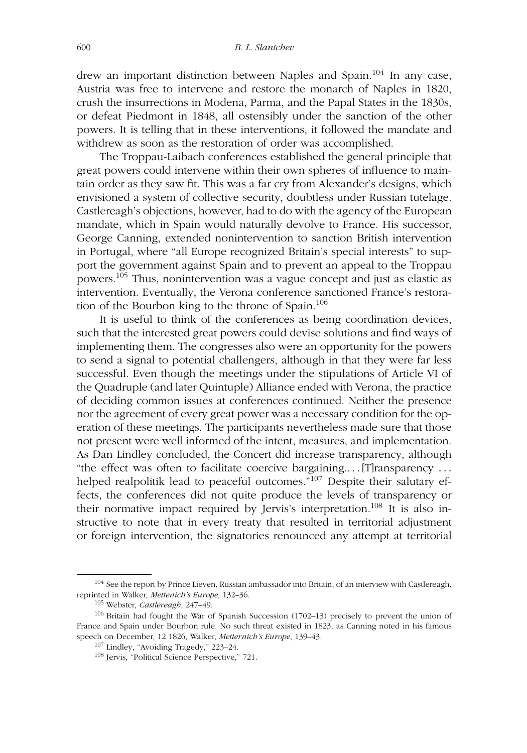drew an important distinction between Naples and Spain.<sup>104</sup> In any case, Austria was free to intervene and restore the monarch of Naples in 1820, crush the insurrections in Modena, Parma, and the Papal States in the 1830s, or defeat Piedmont in 1848, all ostensibly under the sanction of the other powers. It is telling that in these interventions, it followed the mandate and withdrew as soon as the restoration of order was accomplished.

The Troppau-Laibach conferences established the general principle that great powers could intervene within their own spheres of influence to maintain order as they saw fit. This was a far cry from Alexander's designs, which envisioned a system of collective security, doubtless under Russian tutelage. Castlereagh's objections, however, had to do with the agency of the European mandate, which in Spain would naturally devolve to France. His successor, George Canning, extended nonintervention to sanction British intervention in Portugal, where "all Europe recognized Britain's special interests" to support the government against Spain and to prevent an appeal to the Troppau powers.105 Thus, nonintervention was a vague concept and just as elastic as intervention. Eventually, the Verona conference sanctioned France's restoration of the Bourbon king to the throne of Spain.<sup>106</sup>

It is useful to think of the conferences as being coordination devices, such that the interested great powers could devise solutions and find ways of implementing them. The congresses also were an opportunity for the powers to send a signal to potential challengers, although in that they were far less successful. Even though the meetings under the stipulations of Article VI of the Quadruple (and later Quintuple) Alliance ended with Verona, the practice of deciding common issues at conferences continued. Neither the presence nor the agreement of every great power was a necessary condition for the operation of these meetings. The participants nevertheless made sure that those not present were well informed of the intent, measures, and implementation. As Dan Lindley concluded, the Concert did increase transparency, although "the effect was often to facilitate coercive bargaining.... [T]ransparency ... helped realpolitik lead to peaceful outcomes."<sup>107</sup> Despite their salutary effects, the conferences did not quite produce the levels of transparency or their normative impact required by Jervis's interpretation.<sup>108</sup> It is also instructive to note that in every treaty that resulted in territorial adjustment or foreign intervention, the signatories renounced any attempt at territorial

<sup>&</sup>lt;sup>104</sup> See the report by Prince Lieven, Russian ambassador into Britain, of an interview with Castlereagh, reprinted in Walker, *Mettenich's Europe*, 132–36.

<sup>105</sup> Webster, *Castlereagh*, 247–49.

<sup>106</sup> Britain had fought the War of Spanish Succession (1702–13) precisely to prevent the union of France and Spain under Bourbon rule. No such threat existed in 1823, as Canning noted in his famous speech on December, 12 1826, Walker, *Metternich's Europe*, 139–43.

<sup>107</sup> Lindley, "Avoiding Tragedy," 223–24.

<sup>108</sup> Jervis, "Political Science Perspective," 721.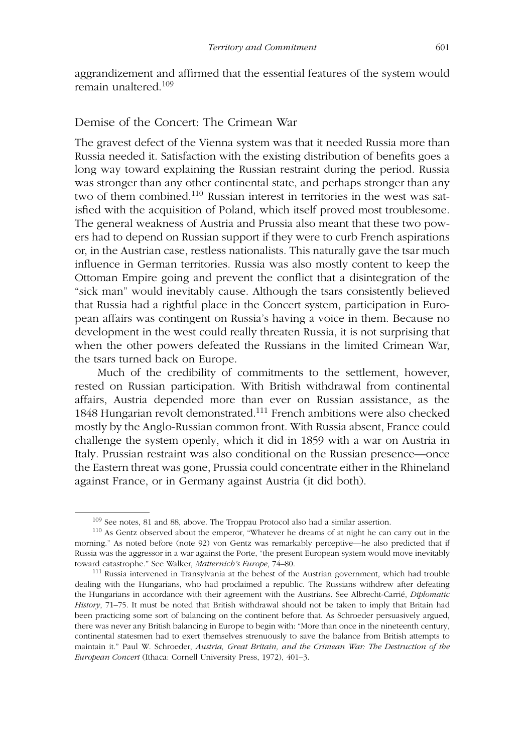aggrandizement and affirmed that the essential features of the system would remain unaltered.<sup>109</sup>

## Demise of the Concert: The Crimean War

The gravest defect of the Vienna system was that it needed Russia more than Russia needed it. Satisfaction with the existing distribution of benefits goes a long way toward explaining the Russian restraint during the period. Russia was stronger than any other continental state, and perhaps stronger than any two of them combined.<sup>110</sup> Russian interest in territories in the west was satisfied with the acquisition of Poland, which itself proved most troublesome. The general weakness of Austria and Prussia also meant that these two powers had to depend on Russian support if they were to curb French aspirations or, in the Austrian case, restless nationalists. This naturally gave the tsar much influence in German territories. Russia was also mostly content to keep the Ottoman Empire going and prevent the conflict that a disintegration of the "sick man" would inevitably cause. Although the tsars consistently believed that Russia had a rightful place in the Concert system, participation in European affairs was contingent on Russia's having a voice in them. Because no development in the west could really threaten Russia, it is not surprising that when the other powers defeated the Russians in the limited Crimean War, the tsars turned back on Europe.

Much of the credibility of commitments to the settlement, however, rested on Russian participation. With British withdrawal from continental affairs, Austria depended more than ever on Russian assistance, as the 1848 Hungarian revolt demonstrated.<sup>111</sup> French ambitions were also checked mostly by the Anglo-Russian common front. With Russia absent, France could challenge the system openly, which it did in 1859 with a war on Austria in Italy. Prussian restraint was also conditional on the Russian presence—once the Eastern threat was gone, Prussia could concentrate either in the Rhineland against France, or in Germany against Austria (it did both).

<sup>109</sup> See notes, 81 and 88, above. The Troppau Protocol also had a similar assertion.

<sup>110</sup> As Gentz observed about the emperor, "Whatever he dreams of at night he can carry out in the morning." As noted before (note 92) von Gentz was remarkably perceptive—he also predicted that if Russia was the aggressor in a war against the Porte, "the present European system would move inevitably toward catastrophe." See Walker, *Matternich's Europe*, 74–80.

<sup>&</sup>lt;sup>111</sup> Russia intervened in Transylvania at the behest of the Austrian government, which had trouble dealing with the Hungarians, who had proclaimed a republic. The Russians withdrew after defeating the Hungarians in accordance with their agreement with the Austrians. See Albrecht-Carrie,´ *Diplomatic History*, 71–75. It must be noted that British withdrawal should not be taken to imply that Britain had been practicing some sort of balancing on the continent before that. As Schroeder persuasively argued, there was never any British balancing in Europe to begin with: "More than once in the nineteenth century, continental statesmen had to exert themselves strenuously to save the balance from British attempts to maintain it." Paul W. Schroeder, *Austria, Great Britain, and the Crimean War: The Destruction of the European Concert* (Ithaca: Cornell University Press, 1972), 401–3.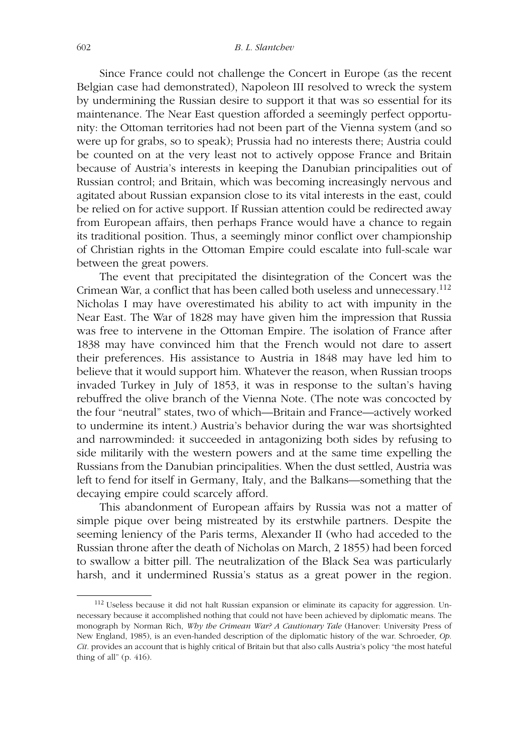Since France could not challenge the Concert in Europe (as the recent Belgian case had demonstrated), Napoleon III resolved to wreck the system by undermining the Russian desire to support it that was so essential for its maintenance. The Near East question afforded a seemingly perfect opportunity: the Ottoman territories had not been part of the Vienna system (and so were up for grabs, so to speak); Prussia had no interests there; Austria could be counted on at the very least not to actively oppose France and Britain because of Austria's interests in keeping the Danubian principalities out of Russian control; and Britain, which was becoming increasingly nervous and agitated about Russian expansion close to its vital interests in the east, could be relied on for active support. If Russian attention could be redirected away from European affairs, then perhaps France would have a chance to regain its traditional position. Thus, a seemingly minor conflict over championship of Christian rights in the Ottoman Empire could escalate into full-scale war between the great powers.

The event that precipitated the disintegration of the Concert was the Crimean War, a conflict that has been called both useless and unnecessary.112 Nicholas I may have overestimated his ability to act with impunity in the Near East. The War of 1828 may have given him the impression that Russia was free to intervene in the Ottoman Empire. The isolation of France after 1838 may have convinced him that the French would not dare to assert their preferences. His assistance to Austria in 1848 may have led him to believe that it would support him. Whatever the reason, when Russian troops invaded Turkey in July of 1853, it was in response to the sultan's having rebuffred the olive branch of the Vienna Note. (The note was concocted by the four "neutral" states, two of which—Britain and France—actively worked to undermine its intent.) Austria's behavior during the war was shortsighted and narrowminded: it succeeded in antagonizing both sides by refusing to side militarily with the western powers and at the same time expelling the Russians from the Danubian principalities. When the dust settled, Austria was left to fend for itself in Germany, Italy, and the Balkans—something that the decaying empire could scarcely afford.

This abandonment of European affairs by Russia was not a matter of simple pique over being mistreated by its erstwhile partners. Despite the seeming leniency of the Paris terms, Alexander II (who had acceded to the Russian throne after the death of Nicholas on March, 2 1855) had been forced to swallow a bitter pill. The neutralization of the Black Sea was particularly harsh, and it undermined Russia's status as a great power in the region.

<sup>&</sup>lt;sup>112</sup> Useless because it did not halt Russian expansion or eliminate its capacity for aggression. Unnecessary because it accomplished nothing that could not have been achieved by diplomatic means. The monograph by Norman Rich, *Why the Crimean War? A Cautionary Tale* (Hanover: University Press of New England, 1985), is an even-handed description of the diplomatic history of the war. Schroeder, *Op. Cit.* provides an account that is highly critical of Britain but that also calls Austria's policy "the most hateful thing of all" (p. 416).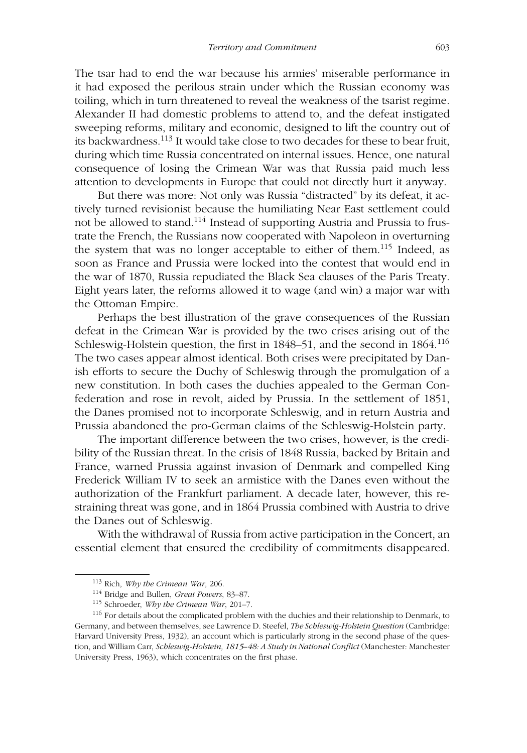The tsar had to end the war because his armies' miserable performance in it had exposed the perilous strain under which the Russian economy was toiling, which in turn threatened to reveal the weakness of the tsarist regime. Alexander II had domestic problems to attend to, and the defeat instigated sweeping reforms, military and economic, designed to lift the country out of its backwardness.113 It would take close to two decades for these to bear fruit, during which time Russia concentrated on internal issues. Hence, one natural consequence of losing the Crimean War was that Russia paid much less attention to developments in Europe that could not directly hurt it anyway.

But there was more: Not only was Russia "distracted" by its defeat, it actively turned revisionist because the humiliating Near East settlement could not be allowed to stand.114 Instead of supporting Austria and Prussia to frustrate the French, the Russians now cooperated with Napoleon in overturning the system that was no longer acceptable to either of them.<sup>115</sup> Indeed, as soon as France and Prussia were locked into the contest that would end in the war of 1870, Russia repudiated the Black Sea clauses of the Paris Treaty. Eight years later, the reforms allowed it to wage (and win) a major war with the Ottoman Empire.

Perhaps the best illustration of the grave consequences of the Russian defeat in the Crimean War is provided by the two crises arising out of the Schleswig-Holstein question, the first in  $1848-51$ , and the second in  $1864$ .<sup>116</sup> The two cases appear almost identical. Both crises were precipitated by Danish efforts to secure the Duchy of Schleswig through the promulgation of a new constitution. In both cases the duchies appealed to the German Confederation and rose in revolt, aided by Prussia. In the settlement of 1851, the Danes promised not to incorporate Schleswig, and in return Austria and Prussia abandoned the pro-German claims of the Schleswig-Holstein party.

The important difference between the two crises, however, is the credibility of the Russian threat. In the crisis of 1848 Russia, backed by Britain and France, warned Prussia against invasion of Denmark and compelled King Frederick William IV to seek an armistice with the Danes even without the authorization of the Frankfurt parliament. A decade later, however, this restraining threat was gone, and in 1864 Prussia combined with Austria to drive the Danes out of Schleswig.

With the withdrawal of Russia from active participation in the Concert, an essential element that ensured the credibility of commitments disappeared.

<sup>113</sup> Rich, *Why the Crimean War*, 206.

<sup>114</sup> Bridge and Bullen, *Great Powers*, 83–87.

<sup>115</sup> Schroeder, *Why the Crimean War*, 201–7.

<sup>&</sup>lt;sup>116</sup> For details about the complicated problem with the duchies and their relationship to Denmark, to Germany, and between themselves, see Lawrence D. Steefel, *The Schleswig-Holstein Question* (Cambridge: Harvard University Press, 1932), an account which is particularly strong in the second phase of the question, and William Carr, *Schleswig-Holstein, 1815–48: A Study in National Conflict* (Manchester: Manchester University Press, 1963), which concentrates on the first phase.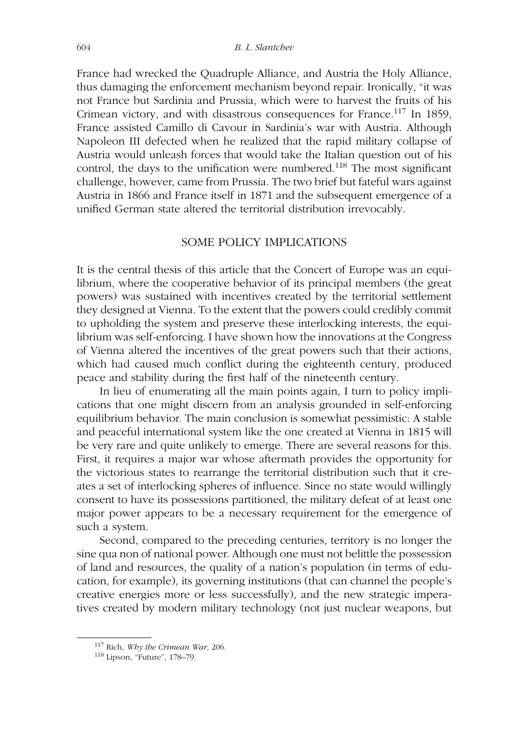France had wrecked the Quadruple Alliance, and Austria the Holy Alliance, thus damaging the enforcement mechanism beyond repair. Ironically, "it was not France but Sardinia and Prussia, which were to harvest the fruits of his Crimean victory, and with disastrous consequences for France.<sup>117</sup> In 1859, France assisted Camillo di Cavour in Sardinia's war with Austria. Although Napoleon III defected when he realized that the rapid military collapse of Austria would unleash forces that would take the Italian question out of his control, the days to the unification were numbered.<sup>118</sup> The most significant challenge, however, came from Prussia. The two brief but fateful wars against Austria in 1866 and France itself in 1871 and the subsequent emergence of a unified German state altered the territorial distribution irrevocably.

#### SOME POLICY IMPLICATIONS

It is the central thesis of this article that the Concert of Europe was an equilibrium, where the cooperative behavior of its principal members (the great powers) was sustained with incentives created by the territorial settlement they designed at Vienna. To the extent that the powers could credibly commit to upholding the system and preserve these interlocking interests, the equilibrium was self-enforcing. I have shown how the innovations at the Congress of Vienna altered the incentives of the great powers such that their actions, which had caused much conflict during the eighteenth century, produced peace and stability during the first half of the nineteenth century.

In lieu of enumerating all the main points again, I turn to policy implications that one might discern from an analysis grounded in self-enforcing equilibrium behavior. The main conclusion is somewhat pessimistic: A stable and peaceful international system like the one created at Vienna in 1815 will be very rare and quite unlikely to emerge. There are several reasons for this. First, it requires a major war whose aftermath provides the opportunity for the victorious states to rearrange the territorial distribution such that it creates a set of interlocking spheres of influence. Since no state would willingly consent to have its possessions partitioned, the military defeat of at least one major power appears to be a necessary requirement for the emergence of such a system.

Second, compared to the preceding centuries, territory is no longer the sine qua non of national power. Although one must not belittle the possession of land and resources, the quality of a nation's population (in terms of education, for example), its governing institutions (that can channel the people's creative energies more or less successfully), and the new strategic imperatives created by modern military technology (not just nuclear weapons, but

<sup>117</sup> Rich, *Why the Crimean War*, 206.

<sup>118</sup> Lipson, "Future", 178–79.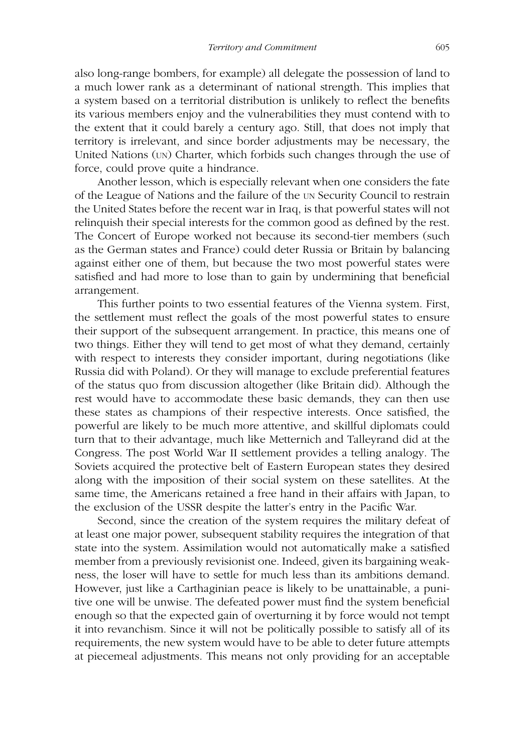also long-range bombers, for example) all delegate the possession of land to a much lower rank as a determinant of national strength. This implies that a system based on a territorial distribution is unlikely to reflect the benefits its various members enjoy and the vulnerabilities they must contend with to the extent that it could barely a century ago. Still, that does not imply that territory is irrelevant, and since border adjustments may be necessary, the United Nations (UN) Charter, which forbids such changes through the use of force, could prove quite a hindrance.

Another lesson, which is especially relevant when one considers the fate of the League of Nations and the failure of the UN Security Council to restrain the United States before the recent war in Iraq, is that powerful states will not relinquish their special interests for the common good as defined by the rest. The Concert of Europe worked not because its second-tier members (such as the German states and France) could deter Russia or Britain by balancing against either one of them, but because the two most powerful states were satisfied and had more to lose than to gain by undermining that beneficial arrangement.

This further points to two essential features of the Vienna system. First, the settlement must reflect the goals of the most powerful states to ensure their support of the subsequent arrangement. In practice, this means one of two things. Either they will tend to get most of what they demand, certainly with respect to interests they consider important, during negotiations (like Russia did with Poland). Or they will manage to exclude preferential features of the status quo from discussion altogether (like Britain did). Although the rest would have to accommodate these basic demands, they can then use these states as champions of their respective interests. Once satisfied, the powerful are likely to be much more attentive, and skillful diplomats could turn that to their advantage, much like Metternich and Talleyrand did at the Congress. The post World War II settlement provides a telling analogy. The Soviets acquired the protective belt of Eastern European states they desired along with the imposition of their social system on these satellites. At the same time, the Americans retained a free hand in their affairs with Japan, to the exclusion of the USSR despite the latter's entry in the Pacific War.

Second, since the creation of the system requires the military defeat of at least one major power, subsequent stability requires the integration of that state into the system. Assimilation would not automatically make a satisfied member from a previously revisionist one. Indeed, given its bargaining weakness, the loser will have to settle for much less than its ambitions demand. However, just like a Carthaginian peace is likely to be unattainable, a punitive one will be unwise. The defeated power must find the system beneficial enough so that the expected gain of overturning it by force would not tempt it into revanchism. Since it will not be politically possible to satisfy all of its requirements, the new system would have to be able to deter future attempts at piecemeal adjustments. This means not only providing for an acceptable